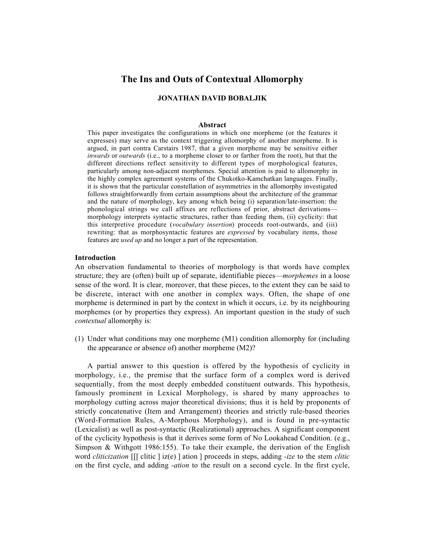# **The Ins and Outs of Contextual Allomorphy**

# **JONATHAN DAVID BOBALJIK**

#### **Abstract**

This paper investigates the configurations in which one morpheme (or the features it expresses) may serve as the context triggering allomorphy of another morpheme. It is argued, in part contra Carstairs 1987, that a given morpheme may be sensitive either *inwards* or *outwards* (i.e., to a morpheme closer to or farther from the root), but that the different directions reflect sensitivity to different types of morphological features, particularly among non-adjacent morphemes. Special attention is paid to allomorphy in the highly complex agreement systems of the Chukotko-Kamchatkan languages. Finally, it is shown that the particular constellation of asymmetries in the allomorphy investigated follows straightforwardly from certain assumptions about the architecture of the grammar and the nature of morphology, key among which being (i) separation/late-insertion: the phonological strings we call affixes are reflections of prior, abstract derivations morphology interprets syntactic structures, rather than feeding them, (ii) cyclicity: that this interpretive procedure (*vocabulary insertion*) proceeds root-outwards, and (iii) rewriting: that as morphosyntactic features are *expressed* by vocabulary items, those features are *used up* and no longer a part of the representation.

### **Introduction**

An observation fundamental to theories of morphology is that words have complex structure; they are (often) built up of separate, identifiable pieces—*morphemes* in a loose sense of the word. It is clear, moreover, that these pieces, to the extent they can be said to be discrete, interact with one another in complex ways. Often, the shape of one morpheme is determined in part by the context in which it occurs, i.e. by its neighbouring morphemes (or by properties they express). An important question in the study of such *contextual* allomorphy is:

(1) Under what conditions may one morpheme (M1) condition allomorphy for (including the appearance or absence of) another morpheme (M2)?

A partial answer to this question is offered by the hypothesis of cyclicity in morphology, i.e., the premise that the surface form of a complex word is derived sequentially, from the most deeply embedded constituent outwards. This hypothesis, famously prominent in Lexical Morphology, is shared by many approaches to morphology cutting across major theoretical divisions; thus it is held by proponents of strictly concatenative (Item and Arrangement) theories and strictly rule-based theories (Word-Formation Rules, A-Morphous Morphology), and is found in pre-syntactic (Lexicalist) as well as post-syntactic (Realizational) approaches. A significant component of the cyclicity hypothesis is that it derives some form of No Lookahead Condition. (e.g., Simpson & Withgott 1986:155). To take their example, the derivation of the English word *cliticization* [[[ clitic ] iz(e) ] ation ] proceeds in steps, adding *-ize* to the stem *clitic* on the first cycle, and adding *-ation* to the result on a second cycle. In the first cycle,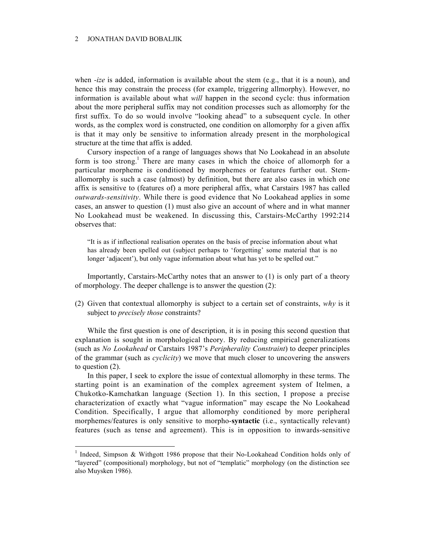when *-ize* is added, information is available about the stem (e.g., that it is a noun), and hence this may constrain the process (for example, triggering allmorphy). However, no information is available about what *will* happen in the second cycle: thus information about the more peripheral suffix may not condition processes such as allomorphy for the first suffix. To do so would involve "looking ahead" to a subsequent cycle. In other words, as the complex word is constructed, one condition on allomorphy for a given affix is that it may only be sensitive to information already present in the morphological structure at the time that affix is added.

Cursory inspection of a range of languages shows that No Lookahead in an absolute form is too strong.<sup>1</sup> There are many cases in which the choice of allomorph for a particular morpheme is conditioned by morphemes or features further out. Stemallomorphy is such a case (almost) by definition, but there are also cases in which one affix is sensitive to (features of) a more peripheral affix, what Carstairs 1987 has called *outwards-sensitivity*. While there is good evidence that No Lookahead applies in some cases, an answer to question (1) must also give an account of where and in what manner No Lookahead must be weakened. In discussing this, Carstairs-McCarthy 1992:214 observes that:

"It is as if inflectional realisation operates on the basis of precise information about what has already been spelled out (subject perhaps to 'forgetting' some material that is no longer 'adjacent'), but only vague information about what has yet to be spelled out."

Importantly, Carstairs-McCarthy notes that an answer to (1) is only part of a theory of morphology. The deeper challenge is to answer the question (2):

(2) Given that contextual allomorphy is subject to a certain set of constraints, *why* is it subject to *precisely those* constraints?

While the first question is one of description, it is in posing this second question that explanation is sought in morphological theory. By reducing empirical generalizations (such as *No Lookahead* or Carstairs 1987's *Peripherality Constraint*) to deeper principles of the grammar (such as *cyclicity*) we move that much closer to uncovering the answers to question (2).

In this paper, I seek to explore the issue of contextual allomorphy in these terms. The starting point is an examination of the complex agreement system of Itelmen, a Chukotko-Kamchatkan language (Section 1). In this section, I propose a precise characterization of exactly what "vague information" may escape the No Lookahead Condition. Specifically, I argue that allomorphy conditioned by more peripheral morphemes/features is only sensitive to morpho-**syntactic** (i.e., syntactically relevant) features (such as tense and agreement). This is in opposition to inwards-sensitive

<sup>&</sup>lt;sup>1</sup> Indeed, Simpson & Withgott 1986 propose that their No-Lookahead Condition holds only of "layered" (compositional) morphology, but not of "templatic" morphology (on the distinction see also Muysken 1986).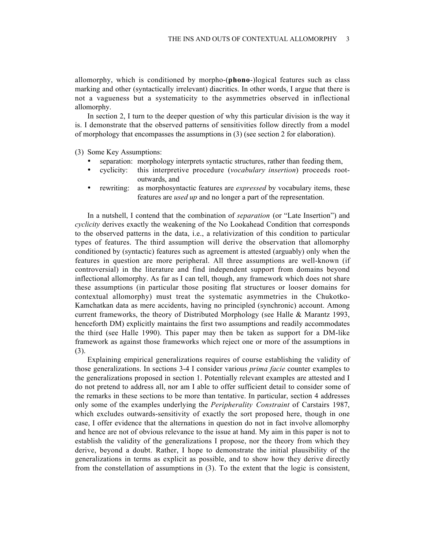allomorphy, which is conditioned by morpho-(**phono**-)logical features such as class marking and other (syntactically irrelevant) diacritics. In other words, I argue that there is not a vagueness but a systematicity to the asymmetries observed in inflectional allomorphy.

In section 2, I turn to the deeper question of why this particular division is the way it is. I demonstrate that the observed patterns of sensitivities follow directly from a model of morphology that encompasses the assumptions in (3) (see section 2 for elaboration).

(3) Some Key Assumptions:

- separation: morphology interprets syntactic structures, rather than feeding them,
- cyclicity: this interpretive procedure (*vocabulary insertion*) proceeds rootoutwards, and
- rewriting: as morphosyntactic features are *expressed* by vocabulary items, these features are *used up* and no longer a part of the representation.

In a nutshell, I contend that the combination of *separation* (or "Late Insertion") and *cyclicity* derives exactly the weakening of the No Lookahead Condition that corresponds to the observed patterns in the data, i.e., a relativization of this condition to particular types of features. The third assumption will derive the observation that allomorphy conditioned by (syntactic) features such as agreement is attested (arguably) only when the features in question are more peripheral. All three assumptions are well-known (if controversial) in the literature and find independent support from domains beyond inflectional allomorphy. As far as I can tell, though, any framework which does not share these assumptions (in particular those positing flat structures or looser domains for contextual allomorphy) must treat the systematic asymmetries in the Chukotko-Kamchatkan data as mere accidents, having no principled (synchronic) account. Among current frameworks, the theory of Distributed Morphology (see Halle & Marantz 1993, henceforth DM) explicitly maintains the first two assumptions and readily accommodates the third (see Halle 1990). This paper may then be taken as support for a DM-like framework as against those frameworks which reject one or more of the assumptions in (3).

Explaining empirical generalizations requires of course establishing the validity of those generalizations. In sections 3-4 I consider various *prima facie* counter examples to the generalizations proposed in section 1. Potentially relevant examples are attested and I do not pretend to address all, nor am I able to offer sufficient detail to consider some of the remarks in these sections to be more than tentative. In particular, section 4 addresses only some of the examples underlying the *Peripherality Constraint* of Carstairs 1987, which excludes outwards-sensitivity of exactly the sort proposed here, though in one case, I offer evidence that the alternations in question do not in fact involve allomorphy and hence are not of obvious relevance to the issue at hand. My aim in this paper is not to establish the validity of the generalizations I propose, nor the theory from which they derive, beyond a doubt. Rather, I hope to demonstrate the initial plausibility of the generalizations in terms as explicit as possible, and to show how they derive directly from the constellation of assumptions in (3). To the extent that the logic is consistent,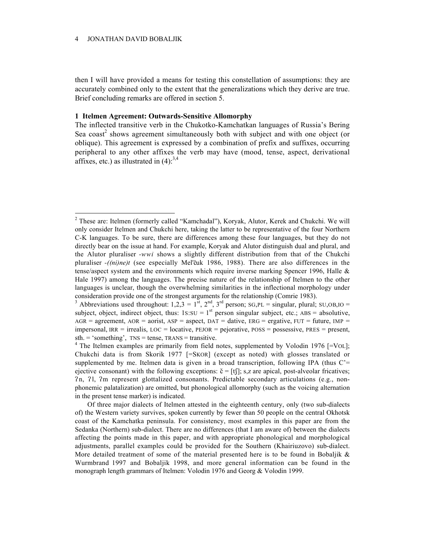then I will have provided a means for testing this constellation of assumptions: they are accurately combined only to the extent that the generalizations which they derive are true. Brief concluding remarks are offered in section 5.

# **1 Itelmen Agreement: Outwards-Sensitive Allomorphy**

The inflected transitive verb in the Chukotko-Kamchatkan languages of Russia's Bering Sea coast<sup>2</sup> shows agreement simultaneously both with subject and with one object (or oblique). This agreement is expressed by a combination of prefix and suffixes, occurring peripheral to any other affixes the verb may have (mood, tense, aspect, derivational affixes, etc.) as illustrated in  $(4)$ :<sup>3,4</sup>

<sup>2</sup> These are: Itelmen (formerly called "Kamchadal"), Koryak, Alutor, Kerek and Chukchi. We will only consider Itelmen and Chukchi here, taking the latter to be representative of the four Northern C-K languages. To be sure, there are differences among these four languages, but they do not directly bear on the issue at hand. For example, Koryak and Alutor distinguish dual and plural, and the Alutor pluraliser *-wwi* shows a slightly different distribution from that of the Chukchi pluraliser  $-(ni)ne)t$  (see especially Mel'čuk 1986, 1988). There are also differences in the tense/aspect system and the environments which require inverse marking Spencer 1996, Halle & Hale 1997) among the languages. The precise nature of the relationship of Itelmen to the other languages is unclear, though the overwhelming similarities in the inflectional morphology under consideration provide one of the strongest arguments for the relationship (Comrie 1983).

<sup>&</sup>lt;sup>3</sup> Abbreviations used throughout:  $1,2,3 = 1^{st}$ ,  $2^{nd}$ ,  $3^{rd}$  person;  $SG,PL =$  singular, plural;  $SU,OB,IO =$ subject, object, indirect object, thus:  $1s:SU = 1<sup>st</sup>$  person singular subject, etc.; ABS = absolutive,  $AGR$  = agreement,  $AOR$  = aorist,  $ASP$  = aspect,  $DATA$  = dative,  $ERG$  = ergative,  $FUT$  = future,  $IMP$  = impersonal,  $IRR = irrealis$ ,  $LOC = locative$ ,  $PEJOR = pejorative$ ,  $Poss = possessive$ ,  $PRES = present$ ,  $sth. = 'something', \text{INS} = tense, \text{TRANS} = transitive.$ 

<sup>&</sup>lt;sup>4</sup> The Itelmen examples are primarily from field notes, supplemented by Volodin 1976 [=VOL]; Chukchi data is from Skorik 1977 [=SKOR] (except as noted) with glosses translated or supplemented by me. Itelmen data is given in a broad transcription, following IPA (thus  $C =$ ejective consonant) with the following exceptions:  $\check{c} = [t\hat{c}]$ ; s,z are apical, post-alveolar fricatives;  $2n, 21$ ,  $2m$  represent glottalized consonants. Predictable secondary articulations (e.g., nonphonemic palatalization) are omitted, but phonological allomorphy (such as the voicing alternation in the present tense marker) is indicated.

Of three major dialects of Itelmen attested in the eighteenth century, only (two sub-dialects of) the Western variety survives, spoken currently by fewer than 50 people on the central Okhotsk coast of the Kamchatka peninsula. For consistency, most examples in this paper are from the Sedanka (Northern) sub-dialect. There are no differences (that I am aware of) between the dialects affecting the points made in this paper, and with appropriate phonological and morphological adjustments, parallel examples could be provided for the Southern (Khairiuzovo) sub-dialect. More detailed treatment of some of the material presented here is to be found in Bobaljik  $\&$ Wurmbrand 1997 and Bobaljik 1998, and more general information can be found in the monograph length grammars of Itelmen: Volodin 1976 and Georg & Volodin 1999.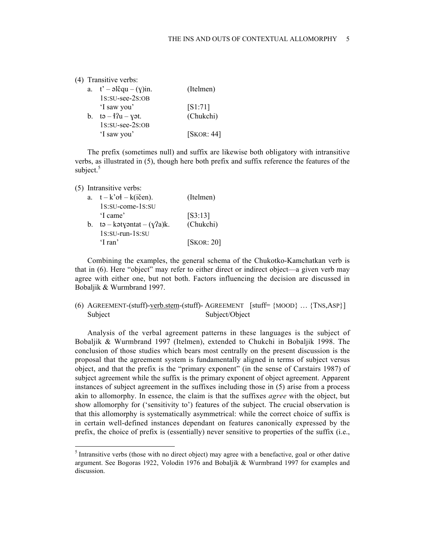|             | (4) Transitive verbs:                          |            |
|-------------|------------------------------------------------|------------|
|             | a. $t' - \Delta \text{Equ} - (\text{y})$ in.   | (Itelmen)  |
|             | 1s:su-see-2s:oB                                |            |
|             | 'I saw you'                                    | [S1:71]    |
| $b_{\cdot}$ | $t\mathfrak{g} - 4\Omega u - y\mathfrak{g}t$ . | (Chukchi)  |
|             | 1s:su-see-2s:oB                                |            |
|             | 'I saw you'                                    | [SKOR: 44] |
|             |                                                |            |

The prefix (sometimes null) and suffix are likewise both obligatory with intransitive verbs, as illustrated in (5), though here both prefix and suffix reference the features of the subject. $5$ 

| (5) Intransitive verbs: |
|-------------------------|
|                         |

| a. | $t - k'$ oł – k(ičen).                | (Itelmen)     |
|----|---------------------------------------|---------------|
|    | 1s:su-come-1s:su                      |               |
|    | 'I came'                              | [S3:13]       |
| b. | $t\mathfrak{g}$ – kətyəntat – (y?a)k. | (Chukchi)     |
|    | $1s:SU-run-1s:SU$                     |               |
|    | 'I ran'                               | [SKOR: $20$ ] |

Combining the examples, the general schema of the Chukotko-Kamchatkan verb is that in (6). Here "object" may refer to either direct or indirect object—a given verb may agree with either one, but not both. Factors influencing the decision are discussed in Bobaljik & Wurmbrand 1997.

(6) AGREEMENT-(stuff)-verb.stem-(stuff)- AGREEMENT [stuff= {MOOD} … {TNS,ASP}] Subject Subject/Object

Analysis of the verbal agreement patterns in these languages is the subject of Bobaljik & Wurmbrand 1997 (Itelmen), extended to Chukchi in Bobaljik 1998. The conclusion of those studies which bears most centrally on the present discussion is the proposal that the agreement system is fundamentally aligned in terms of subject versus object, and that the prefix is the "primary exponent" (in the sense of Carstairs 1987) of subject agreement while the suffix is the primary exponent of object agreement. Apparent instances of subject agreement in the suffixes including those in (5) arise from a process akin to allomorphy. In essence, the claim is that the suffixes *agree* with the object, but show allomorphy for ('sensitivity to') features of the subject. The crucial observation is that this allomorphy is systematically asymmetrical: while the correct choice of suffix is in certain well-defined instances dependant on features canonically expressed by the prefix, the choice of prefix is (essentially) never sensitive to properties of the suffix (i.e.,

 $<sup>5</sup>$  Intransitive verbs (those with no direct object) may agree with a benefactive, goal or other dative</sup> argument. See Bogoras 1922, Volodin 1976 and Bobaljik & Wurmbrand 1997 for examples and discussion.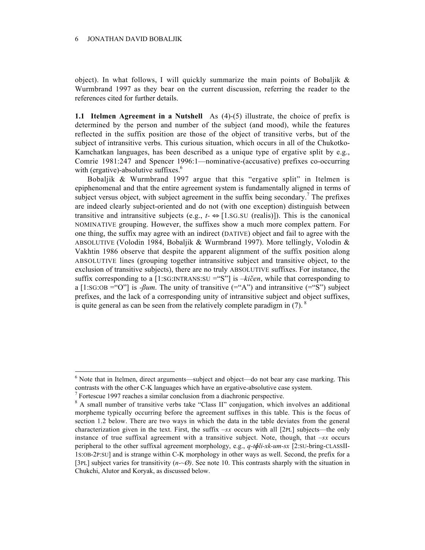object). In what follows, I will quickly summarize the main points of Bobaljik  $\&$ Wurmbrand 1997 as they bear on the current discussion, referring the reader to the references cited for further details.

**1.1 Itelmen Agreement in a Nutshell** As (4)-(5) illustrate, the choice of prefix is determined by the person and number of the subject (and mood), while the features reflected in the suffix position are those of the object of transitive verbs, but of the subject of intransitive verbs. This curious situation, which occurs in all of the Chukotko-Kamchatkan languages, has been described as a unique type of ergative split by e.g., Comrie 1981:247 and Spencer 1996:1—nominative-(accusative) prefixes co-occurring with (ergative)-absolutive suffixes. $6$ 

Bobaljik & Wurmbrand 1997 argue that this "ergative split" in Itelmen is epiphenomenal and that the entire agreement system is fundamentally aligned in terms of subject versus object, with subject agreement in the suffix being secondary.<sup>7</sup> The prefixes are indeed clearly subject-oriented and do not (with one exception) distinguish between transitive and intransitive subjects (e.g.,  $t \leftrightarrow [1.8 \text{G} \cdot \text{SU} \text{ (realis)}]$ ). This is the canonical NOMINATIVE grouping. However, the suffixes show a much more complex pattern. For one thing, the suffix may agree with an indirect (DATIVE) object and fail to agree with the ABSOLUTIVE (Volodin 1984, Bobaljik & Wurmbrand 1997). More tellingly, Volodin & Vakhtin 1986 observe that despite the apparent alignment of the suffix position along ABSOLUTIVE lines (grouping together intransitive subject and transitive object, to the exclusion of transitive subjects), there are no truly ABSOLUTIVE suffixes. For instance, the suffix corresponding to a [1:SG:INTRANS:SU ="S"] is  $-ki\check{c}en$ , while that corresponding to a  $[1:SG:OB = "O"]$  is *-Bum*. The unity of transitive  $(=(A^{\prime\prime})^{\prime})$  and intransitive  $(=(S^{\prime\prime})^{\prime})$  subject prefixes, and the lack of a corresponding unity of intransitive subject and object suffixes, is quite general as can be seen from the relatively complete paradigm in (7).  $\delta$ 

 $<sup>6</sup>$  Note that in Itelmen, direct arguments—subject and object—do not bear any case marking. This</sup> contrasts with the other C-K languages which have an ergative-absolutive case system.

 $7$  Fortescue 1997 reaches a similar conclusion from a diachronic perspective.

<sup>&</sup>lt;sup>8</sup> A small number of transitive verbs take "Class II" conjugation, which involves an additional morpheme typically occurring before the agreement suffixes in this table. This is the focus of section 1.2 below. There are two ways in which the data in the table deviates from the general characterization given in the text. First, the suffix *–sx* occurs with all [2PL] subjects—the only instance of true suffixal agreement with a transitive subject. Note, though, that *–sx* occurs peripheral to the other suffixal agreement morphology, e.g., *q-tli-xk-um-sx* [2:SU-bring-CLASSII-1S:OB-2P:SU] and is strange within C-K morphology in other ways as well. Second, the prefix for a [3PL] subject varies for transitivity  $(n-\varnothing)$ . See note 10. This contrasts sharply with the situation in Chukchi, Alutor and Koryak, as discussed below.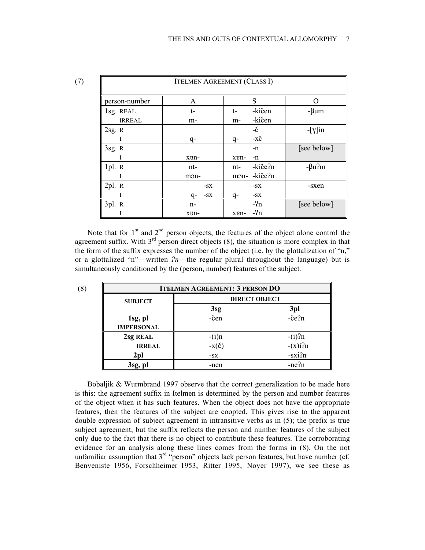| <b>ITELMEN AGREEMENT (CLASS I)</b> |             |                     |               |  |  |  |  |
|------------------------------------|-------------|---------------------|---------------|--|--|--|--|
| person-number                      | A           | S                   | 0             |  |  |  |  |
| 1sg. REAL                          | t-          | -kičen<br>t-        | $-\beta$ um   |  |  |  |  |
| <b>IRREAL</b>                      | m-          | -kičen<br>m-        |               |  |  |  |  |
| 2sg. R                             |             | -č                  | $-[y]$ in     |  |  |  |  |
| Ι                                  | q-          | $-x\check{c}$<br>q- |               |  |  |  |  |
| 3sg. R                             |             | -n                  | [see below]   |  |  |  |  |
| I                                  | xen-        | xen-<br>-n          |               |  |  |  |  |
| 1pl. R                             | nt-         | -kiče?n<br>nt-      | $-\beta u$ ?m |  |  |  |  |
|                                    | mən-        | -kiče?n<br>mən-     |               |  |  |  |  |
| 2pl. R                             | $-SX$       | $-SX$               | -sxen         |  |  |  |  |
| I                                  | $-SX$<br>q- | $-SX$<br>q-         |               |  |  |  |  |
| 3pl. R                             | n-          | $-2n$               | [see below]   |  |  |  |  |
|                                    | xen-        | $-2n$<br>xen-       |               |  |  |  |  |

Note that for  $1<sup>st</sup>$  and  $2<sup>nd</sup>$  person objects, the features of the object alone control the agreement suffix. With  $3^{rd}$  person direct objects (8), the situation is more complex in that the form of the suffix expresses the number of the object (i.e. by the glottalization of "n," or a glottalized "n"—written  $2n$ —the regular plural throughout the language) but is simultaneously conditioned by the (person, number) features of the subject.

| <b>ITELMEN AGREEMENT: 3 PERSON DO</b> |                      |           |  |  |  |  |
|---------------------------------------|----------------------|-----------|--|--|--|--|
| <b>SUBJECT</b>                        | <b>DIRECT OBJECT</b> |           |  |  |  |  |
|                                       | 3sg                  | 3pl       |  |  |  |  |
| 1sg, pl<br><b>IMPERSONAL</b>          | -čen                 | -če?n     |  |  |  |  |
| 2sg REAL                              | $-(i)n$              | $-(i)$ ?n |  |  |  |  |
| <b>IRREAL</b>                         | $-x(\check{c})$      | $-(x)i?n$ |  |  |  |  |
| 2 <sub>pl</sub>                       | $-SX$                | $-sxi2n$  |  |  |  |  |
| 3sg, pl                               | -nen                 | -ne?n     |  |  |  |  |

Bobaljik & Wurmbrand 1997 observe that the correct generalization to be made here is this: the agreement suffix in Itelmen is determined by the person and number features of the object when it has such features. When the object does not have the appropriate features, then the features of the subject are coopted. This gives rise to the apparent double expression of subject agreement in intransitive verbs as in (5); the prefix is true subject agreement, but the suffix reflects the person and number features of the subject only due to the fact that there is no object to contribute these features. The corroborating evidence for an analysis along these lines comes from the forms in (8). On the not unfamiliar assumption that  $3<sup>rd</sup>$  "person" objects lack person features, but have number (cf. Benveniste 1956, Forschheimer 1953, Ritter 1995, Noyer 1997), we see these as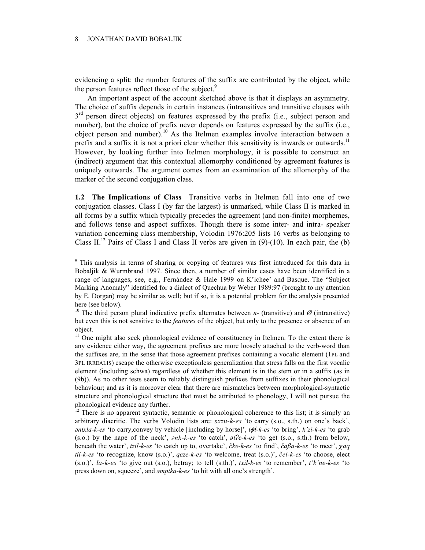evidencing a split: the number features of the suffix are contributed by the object, while the person features reflect those of the subject.<sup>9</sup>

An important aspect of the account sketched above is that it displays an asymmetry. The choice of suffix depends in certain instances (intransitives and transitive clauses with  $3<sup>rd</sup>$  person direct objects) on features expressed by the prefix (i.e., subject person and number), but the choice of prefix never depends on features expressed by the suffix (i.e., object person and number).<sup>10</sup> As the Itelmen examples involve interaction between a prefix and a suffix it is not a priori clear whether this sensitivity is inwards or outwards.<sup>11</sup> However, by looking further into Itelmen morphology, it is possible to construct an (indirect) argument that this contextual allomorphy conditioned by agreement features is uniquely outwards. The argument comes from an examination of the allomorphy of the marker of the second conjugation class.

**1.2 The Implications of Class** Transitive verbs in Itelmen fall into one of two conjugation classes. Class I (by far the largest) is unmarked, while Class II is marked in all forms by a suffix which typically precedes the agreement (and non-finite) morphemes, and follows tense and aspect suffixes. Though there is some inter- and intra- speaker variation concerning class membership, Volodin 1976:205 lists 16 verbs as belonging to Class II.<sup>12</sup> Pairs of Class I and Class II verbs are given in (9)-(10). In each pair, the (b)

<sup>&</sup>lt;sup>9</sup> This analysis in terms of sharing or copying of features was first introduced for this data in Bobaljik & Wurmbrand 1997. Since then, a number of similar cases have been identified in a range of languages, see, e.g., Fernández & Hale 1999 on K'ichee' and Basque. The "Subject Marking Anomaly" identified for a dialect of Quechua by Weber 1989:97 (brought to my attention by E. Dorgan) may be similar as well; but if so, it is a potential problem for the analysis presented here (see below).

<sup>&</sup>lt;sup>10</sup> The third person plural indicative prefix alternates between *n*- (transitive) and  $\varnothing$  (intransitive) but even this is not sensitive to the *features* of the object, but only to the presence or absence of an object.

 $11$  One might also seek phonological evidence of constituency in Itelmen. To the extent there is any evidence either way, the agreement prefixes are more loosely attached to the verb-word than the suffixes are, in the sense that those agreement prefixes containing a vocalic element (1PL and 3PL IRREALIS) escape the otherwise exceptionless generalization that stress falls on the first vocalic element (including schwa) regardless of whether this element is in the stem or in a suffix (as in (9b)). As no other tests seem to reliably distinguish prefixes from suffixes in their phonological behaviour; and as it is moreover clear that there are mismatches between morphological-syntactic structure and phonological structure that must be attributed to phonology, I will not pursue the phonological evidence any further.

<sup>&</sup>lt;sup>12</sup> There is no apparent syntactic, semantic or phonological coherence to this list; it is simply an arbitrary diacritic. The verbs Volodin lists are: *sxzu-k-es* 'to carry (s.o., s.th.) on one's back', *ntxla-k-es* 'to carry,convey by vehicle [including by horse]', *t-k-es* 'to bring', *k'zi-k-es* 'to grab (s.o.) by the nape of the neck', *nk-k-es* 'to catch', *le-k-es* 'to get (s.o., s.th.) from below, beneath the water', *tzil-k-es* 'to catch up to, overtake', *cke-k-es* 'to find', *caa-k-es* 'to meet', *aq til-k-es* 'to recognize, know (s.o.)', *qeze-k-es* 'to welcome, treat (s.o.)', *cel-k-es* 'to choose, elect (s.o.)', *la-k-es* 'to give out (s.o.), betray; to tell (s.th.)', *txi-k-es* 'to remember', *t'k'ne-k-es* 'to press down on, squeeze', and *mptka-k-es* 'to hit with all one's strength'.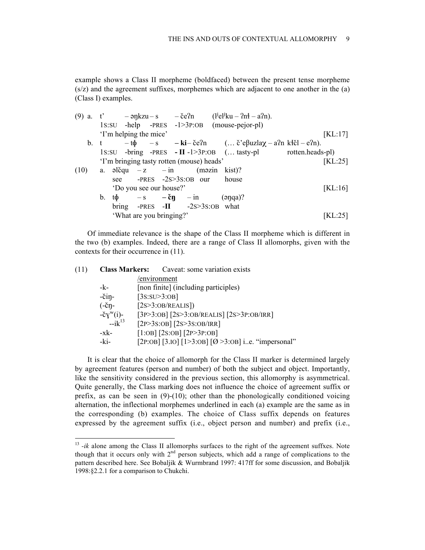example shows a Class II morpheme (boldfaced) between the present tense morpheme (s/z) and the agreement suffixes, morphemes which are adjacent to one another in the (a) (Class I) examples.

| $(9)$ a. |      | t' |       |                          | $-\text{apkzu}-\text{s}$ $-\text{ce2n}$               | $(l^{j}el^{j}ku - 2nt - a^{2}n)$ .                                               |                                                              |                       |
|----------|------|----|-------|--------------------------|-------------------------------------------------------|----------------------------------------------------------------------------------|--------------------------------------------------------------|-----------------------|
|          |      |    |       |                          |                                                       | $1s:SU$ -help -PRES -1>3P:OB (mouse-pejor-pl)                                    |                                                              |                       |
|          |      |    |       | 'I'm helping the mice'   |                                                       |                                                                                  |                                                              | [KL:17]               |
|          | b. t |    |       |                          |                                                       | $-t\phi$ -s - ki-če?n ( č'e $\beta$ uzla $\chi$ - a?n k $\ddot{\chi}$ cl - e?n). |                                                              |                       |
|          |      |    |       |                          |                                                       |                                                                                  | 1s:su -bring -PRES - II -1>3P:OB ( tasty-pl rotten.heads-pl) |                       |
|          |      |    |       |                          | 'I'm bringing tasty rotten (mouse) heads'             |                                                                                  |                                                              | $\left[KL:25\right]$  |
| (10)     |      |    |       |                          | a. $\partial$ lčqu $-z$ – in (m $\partial$ zin kist)? |                                                                                  |                                                              |                       |
|          |      |    | see   |                          | -PRES $-2s > 3s$ :OB our                              | house                                                                            |                                                              |                       |
|          |      |    |       | 'Do you see our house?'  |                                                       |                                                                                  |                                                              | $\left[ KL:16\right]$ |
|          |      | b. | tф    |                          | $-s$ $-\breve{c}n$ $-i\breve{n}$                      | $(\text{apq})?$                                                                  |                                                              |                       |
|          |      |    | bring |                          | -PRES -II $-2s > 3s$ :OB what                         |                                                                                  |                                                              |                       |
|          |      |    |       | 'What are you bringing?' |                                                       |                                                                                  |                                                              | [KL:25]               |

Of immediate relevance is the shape of the Class II morpheme which is different in the two (b) examples. Indeed, there are a range of Class II allomorphs, given with the contexts for their occurrence in (11).

|                      | <b>Class Markers:</b> Caveat: some variation exists           |
|----------------------|---------------------------------------------------------------|
|                      | /environment                                                  |
| -k-                  | [non finite] (including participles)                          |
| $-\check{c}$ in-     | [3s:SU>3:OB]                                                  |
| $(-\check{c}\eta -$  | [2s>3:OB/REALIS])                                             |
| $-\check{c}y^w(i)$ - | $[3P>3:OB]$ $[2S>3:OB/REALIS]$ $[2S>3P:OB/IRR]$               |
|                      | $[2P>3S:OB]$ $[2S>3S:OB/IRR]$                                 |
| -xk-                 | $[1:OB]$ $[2S:OB]$ $[2P>3P:OB]$                               |
| -ki-                 | [2P:OB] [3.IO] [1>3:OB] [ $\emptyset$ >3:OB] ie. "impersonal" |
|                      | $-ik^{13}$                                                    |

It is clear that the choice of allomorph for the Class II marker is determined largely by agreement features (person and number) of both the subject and object. Importantly, like the sensitivity considered in the previous section, this allomorphy is asymmetrical. Quite generally, the Class marking does not influence the choice of agreement suffix or prefix, as can be seen in  $(9)-(10)$ ; other than the phonologically conditioned voicing alternation, the inflectional morphemes underlined in each (a) example are the same as in the corresponding (b) examples. The choice of Class suffix depends on features expressed by the agreement suffix (i.e., object person and number) and prefix (i.e.,

<sup>&</sup>lt;sup>13</sup>-ik alone among the Class II allomorphs surfaces to the right of the agreement suffxes. Note though that it occurs only with  $2<sup>nd</sup>$  person subjects, which add a range of complications to the pattern described here. See Bobaljik & Wurmbrand 1997: 417ff for some discussion, and Bobaljik 1998:§2.2.1 for a comparison to Chukchi.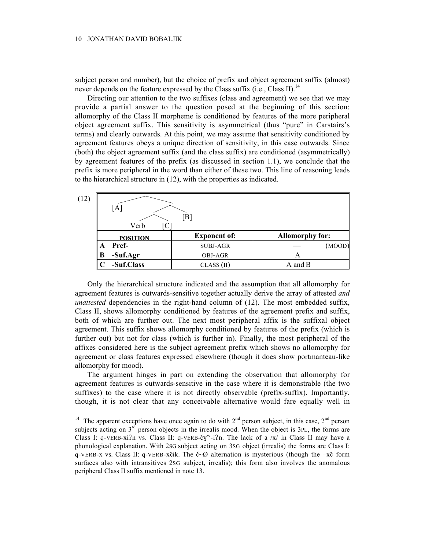subject person and number), but the choice of prefix and object agreement suffix (almost) never depends on the feature expressed by the Class suffix (i.e., Class II).<sup>14</sup>

Directing our attention to the two suffixes (class and agreement) we see that we may provide a partial answer to the question posed at the beginning of this section: allomorphy of the Class II morpheme is conditioned by features of the more peripheral object agreement suffix. This sensitivity is asymmetrical (thus "pure" in Carstairs's terms) and clearly outwards. At this point, we may assume that sensitivity conditioned by agreement features obeys a unique direction of sensitivity, in this case outwards. Since (both) the object agreement suffix (and the class suffix) are conditioned (asymmetrically) by agreement features of the prefix (as discussed in section 1.1), we conclude that the prefix is more peripheral in the word than either of these two. This line of reasoning leads to the hierarchical structure in (12), with the properties as indicated.

| (12) | [A<br>Verb      | $\lceil \boldsymbol{\mathrm{B}} \rceil$ |                        |
|------|-----------------|-----------------------------------------|------------------------|
|      | <b>POSITION</b> | <b>Exponent of:</b>                     | <b>Allomorphy for:</b> |
|      | Pref-<br>A      | <b>SUBJ-AGR</b>                         | (MOOD)                 |
|      | -Suf.Agr<br>В   | <b>OBJ-AGR</b>                          | A                      |
|      | -Suf.Class      | CLASS (II)                              | A and B                |

Only the hierarchical structure indicated and the assumption that all allomorphy for agreement features is outwards-sensitive together actually derive the array of attested *and unattested* dependencies in the right-hand column of (12). The most embedded suffix, Class II, shows allomorphy conditioned by features of the agreement prefix and suffix, both of which are further out. The next most peripheral affix is the suffixal object agreement. This suffix shows allomorphy conditioned by features of the prefix (which is further out) but not for class (which is further in). Finally, the most peripheral of the affixes considered here is the subject agreement prefix which shows no allomorphy for agreement or class features expressed elsewhere (though it does show portmanteau-like allomorphy for mood).

The argument hinges in part on extending the observation that allomorphy for agreement features is outwards-sensitive in the case where it is demonstrable (the two suffixes) to the case where it is not directly observable (prefix-suffix). Importantly, though, it is not clear that any conceivable alternative would fare equally well in

<sup>&</sup>lt;sup>14</sup> The apparent exceptions have once again to do with  $2<sup>nd</sup>$  person subject, in this case,  $2<sup>nd</sup>$  person subjects acting on  $3<sup>rd</sup>$  person objects in the irrealis mood. When the object is 3PL, the forms are Class I: q-VERB-xi?n vs. Class II: q-VERB-č $y''$ -i?n. The lack of a /x/ in Class II may have a phonological explanation. With 2SG subject acting on 3SG object (irrealis) the forms are Class I: q-VERB-x vs. Class II: q-VERB-xcik. The  $\zeta \sim \emptyset$  alternation is mysterious (though the  $-\chi \zeta$  form surfaces also with intransitives 2SG subject, irrealis); this form also involves the anomalous peripheral Class II suffix mentioned in note 13.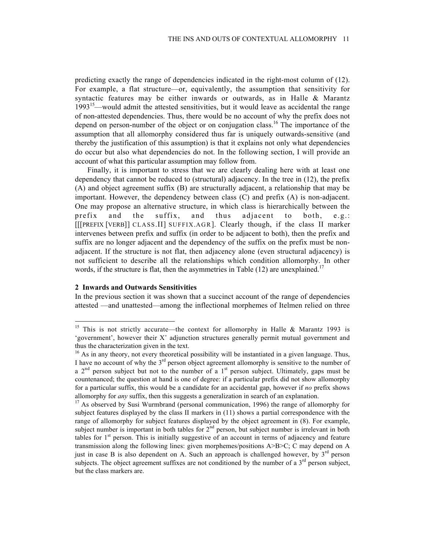predicting exactly the range of dependencies indicated in the right-most column of (12). For example, a flat structure—or, equivalently, the assumption that sensitivity for syntactic features may be either inwards or outwards, as in Halle & Marantz  $1993<sup>15</sup>$ —would admit the attested sensitivities, but it would leave as accidental the range of non-attested dependencies. Thus, there would be no account of why the prefix does not depend on person-number of the object or on conjugation class.<sup>16</sup> The importance of the assumption that all allomorphy considered thus far is uniquely outwards-sensitive (and thereby the justification of this assumption) is that it explains not only what dependencies do occur but also what dependencies do not. In the following section, I will provide an account of what this particular assumption may follow from.

Finally, it is important to stress that we are clearly dealing here with at least one dependency that cannot be reduced to (structural) adjacency. In the tree in (12), the prefix (A) and object agreement suffix (B) are structurally adjacent, a relationship that may be important. However, the dependency between class (C) and prefix (A) is non-adjacent. One may propose an alternative structure, in which class is hierarchically between the prefix and the suffix, and thus adjacent to both, e.g.: [[[PREFIX [VERB]] CLASS.II] SUFFIX.AGR]. Clearly though, if the class II marker intervenes between prefix and suffix (in order to be adjacent to both), then the prefix and suffix are no longer adjacent and the dependency of the suffix on the prefix must be nonadjacent. If the structure is not flat, then adjacency alone (even structural adjacency) is not sufficient to describe all the relationships which condition allomorphy. In other words, if the structure is flat, then the asymmetries in Table  $(12)$  are unexplained.<sup>17</sup>

#### **2 Inwards and Outwards Sensitivities**

In the previous section it was shown that a succinct account of the range of dependencies attested —and unattested—among the inflectional morphemes of Itelmen relied on three

<sup>&</sup>lt;sup>15</sup> This is not strictly accurate—the context for allomorphy in Halle & Marantz 1993 is 'government', however their X˚ adjunction structures generally permit mutual government and thus the characterization given in the text.

 $16$  As in any theory, not every theoretical possibility will be instantiated in a given language. Thus, I have no account of why the  $3<sup>rd</sup>$  person object agreement allomorphy is sensitive to the number of a  $2<sup>nd</sup>$  person subject but not to the number of a 1<sup>st</sup> person subject. Ultimately, gaps must be countenanced; the question at hand is one of degree: if a particular prefix did not show allomorphy for a particular suffix, this would be a candidate for an accidental gap, however if *no* prefix shows allomorphy for *any* suffix, then this suggests a generalization in search of an explanation.

<sup>&</sup>lt;sup>17</sup> As observed by Susi Wurmbrand (personal communication, 1996) the range of allomorphy for subject features displayed by the class II markers in (11) shows a partial correspondence with the range of allomorphy for subject features displayed by the object agreement in (8). For example, subject number is important in both tables for  $2<sup>nd</sup>$  person, but subject number is irrelevant in both tables for  $1<sup>st</sup>$  person. This is initially suggestive of an account in terms of adjacency and feature transmission along the following lines: given morphemes/positions A>B>C; C may depend on A just in case B is also dependent on A. Such an approach is challenged however, by  $3<sup>rd</sup>$  person subjects. The object agreement suffixes are not conditioned by the number of a  $3<sup>rd</sup>$  person subject, but the class markers are.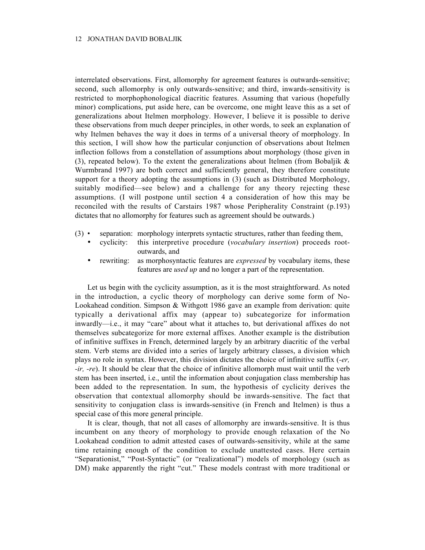interrelated observations. First, allomorphy for agreement features is outwards-sensitive; second, such allomorphy is only outwards-sensitive; and third, inwards-sensitivity is restricted to morphophonological diacritic features. Assuming that various (hopefully minor) complications, put aside here, can be overcome, one might leave this as a set of generalizations about Itelmen morphology. However, I believe it is possible to derive these observations from much deeper principles, in other words, to seek an explanation of why Itelmen behaves the way it does in terms of a universal theory of morphology. In this section, I will show how the particular conjunction of observations about Itelmen inflection follows from a constellation of assumptions about morphology (those given in (3), repeated below). To the extent the generalizations about Itelmen (from Bobaljik  $\&$ Wurmbrand 1997) are both correct and sufficiently general, they therefore constitute support for a theory adopting the assumptions in (3) (such as Distributed Morphology, suitably modified—see below) and a challenge for any theory rejecting these assumptions. (I will postpone until section 4 a consideration of how this may be reconciled with the results of Carstairs 1987 whose Peripherality Constraint (p.193) dictates that no allomorphy for features such as agreement should be outwards.)

- (3) separation: morphology interprets syntactic structures, rather than feeding them,
	- cyclicity: this interpretive procedure (*vocabulary insertion*) proceeds rootoutwards, and
	- rewriting: as morphosyntactic features are *expressed* by vocabulary items, these features are *used up* and no longer a part of the representation.

Let us begin with the cyclicity assumption, as it is the most straightforward. As noted in the introduction, a cyclic theory of morphology can derive some form of No-Lookahead condition. Simpson & Withgott 1986 gave an example from derivation: quite typically a derivational affix may (appear to) subcategorize for information inwardly—i.e., it may "care" about what it attaches to, but derivational affixes do not themselves subcategorize for more external affixes. Another example is the distribution of infinitive suffixes in French, determined largely by an arbitrary diacritic of the verbal stem. Verb stems are divided into a series of largely arbitrary classes, a division which plays no role in syntax. However, this division dictates the choice of infinitive suffix (*-er, -ir, -re*). It should be clear that the choice of infinitive allomorph must wait until the verb stem has been inserted, i.e., until the information about conjugation class membership has been added to the representation. In sum, the hypothesis of cyclicity derives the observation that contextual allomorphy should be inwards-sensitive. The fact that sensitivity to conjugation class is inwards-sensitive (in French and Itelmen) is thus a special case of this more general principle.

It is clear, though, that not all cases of allomorphy are inwards-sensitive. It is thus incumbent on any theory of morphology to provide enough relaxation of the No Lookahead condition to admit attested cases of outwards-sensitivity, while at the same time retaining enough of the condition to exclude unattested cases. Here certain "Separationist," "Post-Syntactic" (or "realizational") models of morphology (such as DM) make apparently the right "cut." These models contrast with more traditional or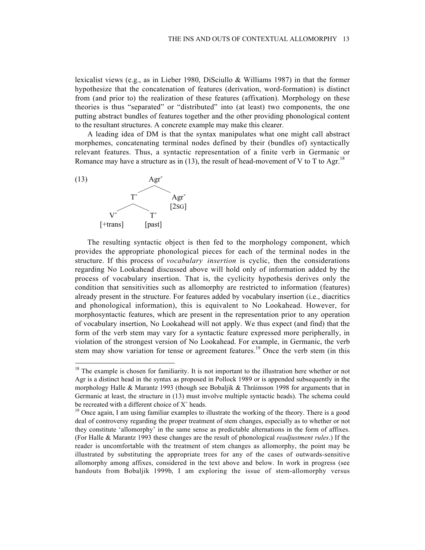lexicalist views (e.g., as in Lieber 1980, DiSciullo & Williams 1987) in that the former hypothesize that the concatenation of features (derivation, word-formation) is distinct from (and prior to) the realization of these features (affixation). Morphology on these theories is thus "separated" or "distributed" into (at least) two components, the one putting abstract bundles of features together and the other providing phonological content to the resultant structures. A concrete example may make this clearer.

A leading idea of DM is that the syntax manipulates what one might call abstract morphemes, concatenating terminal nodes defined by their (bundles of) syntactically relevant features. Thus, a syntactic representation of a finite verb in Germanic or Romance may have a structure as in (13), the result of head-movement of V to T to Agr.<sup>18</sup>



The resulting syntactic object is then fed to the morphology component, which provides the appropriate phonological pieces for each of the terminal nodes in the structure. If this process of *vocabulary insertion* is cyclic, then the considerations regarding No Lookahead discussed above will hold only of information added by the process of vocabulary insertion. That is, the cyclicity hypothesis derives only the condition that sensitivities such as allomorphy are restricted to information (features) already present in the structure. For features added by vocabulary insertion (i.e., diacritics and phonological information), this is equivalent to No Lookahead. However, for morphosyntactic features, which are present in the representation prior to any operation of vocabulary insertion, No Lookahead will not apply. We thus expect (and find) that the form of the verb stem may vary for a syntactic feature expressed more peripherally, in violation of the strongest version of No Lookahead. For example, in Germanic, the verb stem may show variation for tense or agreement features.<sup>19</sup> Once the verb stem (in this

<sup>&</sup>lt;sup>18</sup> The example is chosen for familiarity. It is not important to the illustration here whether or not Agr is a distinct head in the syntax as proposed in Pollock 1989 or is appended subsequently in the morphology Halle & Marantz 1993 (though see Bobaljik & Thráinsson 1998 for arguments that in Germanic at least, the structure in (13) must involve multiple syntactic heads). The schema could be recreated with a different choice of X˚ heads.

<sup>&</sup>lt;sup>19</sup> Once again, I am using familiar examples to illustrate the working of the theory. There is a good deal of controversy regarding the proper treatment of stem changes, especially as to whether or not they constitute 'allomorphy' in the same sense as predictable alternations in the form of affixes. (For Halle & Marantz 1993 these changes are the result of phonological *readjustment rules*.) If the reader is uncomfortable with the treatment of stem changes as allomorphy, the point may be illustrated by substituting the appropriate trees for any of the cases of outwards-sensitive allomorphy among affixes, considered in the text above and below. In work in progress (see handouts from Bobaljik 1999b, I am exploring the issue of stem-allomorphy versus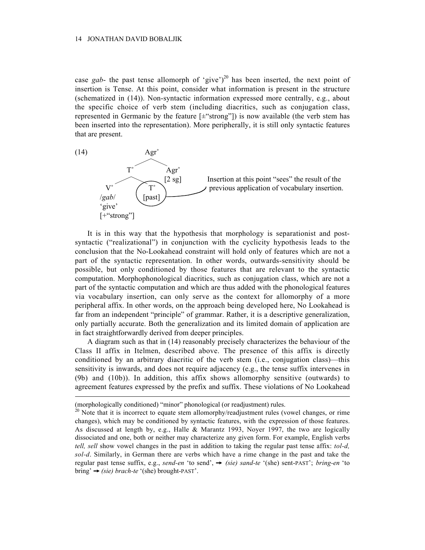case *gab*- the past tense allomorph of 'give')<sup>20</sup> has been inserted, the next point of insertion is Tense. At this point, consider what information is present in the structure (schematized in (14)). Non-syntactic information expressed more centrally, e.g., about the specific choice of verb stem (including diacritics, such as conjugation class, represented in Germanic by the feature  $[\pm$ "strong"]) is now available (the verb stem has been inserted into the representation). More peripherally, it is still only syntactic features that are present.



It is in this way that the hypothesis that morphology is separationist and postsyntactic ("realizational") in conjunction with the cyclicity hypothesis leads to the conclusion that the No-Lookahead constraint will hold only of features which are not a part of the syntactic representation. In other words, outwards-sensitivity should be possible, but only conditioned by those features that are relevant to the syntactic computation. Morphophonological diacritics, such as conjugation class, which are not a part of the syntactic computation and which are thus added with the phonological features via vocabulary insertion, can only serve as the context for allomorphy of a more peripheral affix. In other words, on the approach being developed here, No Lookahead is far from an independent "principle" of grammar. Rather, it is a descriptive generalization, only partially accurate. Both the generalization and its limited domain of application are in fact straightforwardly derived from deeper principles.

A diagram such as that in (14) reasonably precisely characterizes the behaviour of the Class II affix in Itelmen, described above. The presence of this affix is directly conditioned by an arbitrary diacritic of the verb stem (i.e., conjugation class)—this sensitivity is inwards, and does not require adjacency (e.g., the tense suffix intervenes in (9b) and (10b)). In addition, this affix shows allomorphy sensitive (outwards) to agreement features expressed by the prefix and suffix. These violations of No Lookahead

 $\overline{a}$ 

<sup>(</sup>morphologically conditioned) "minor" phonological (or readjustment) rules.

 $^{20}$  Note that it is incorrect to equate stem allomorphy/readjustment rules (vowel changes, or rime changes), which may be conditioned by syntactic features, with the expression of those features. As discussed at length by, e.g., Halle & Marantz 1993, Noyer 1997, the two are logically dissociated and one, both or neither may characterize any given form. For example, English verbs *tell, sell* show vowel changes in the past in addition to taking the regular past tense affix: *tol-d, sol-d*. Similarly, in German there are verbs which have a rime change in the past and take the regular past tense suffix, e.g., *send-en* 'to send',  $\rightarrow$  (sie) sand-te '(she) sent-PAST'; *bring-en* 'to  $\text{bring'} \rightarrow \text{(sie)} \text{branch-te } (\text{she}) \text{ brought-PAST}'.$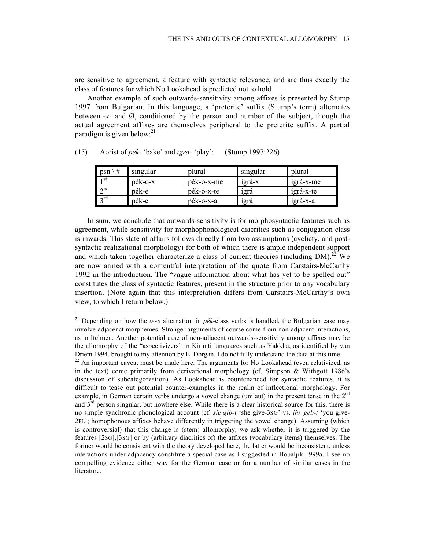are sensitive to agreement, a feature with syntactic relevance, and are thus exactly the class of features for which No Lookahead is predicted not to hold.

Another example of such outwards-sensitivity among affixes is presented by Stump 1997 from Bulgarian. In this language, a 'preterite' suffix (Stump's term) alternates between -*x-* and Ø, conditioned by the person and number of the subject, though the actual agreement affixes are themselves peripheral to the preterite suffix. A partial paradigm is given below: $^{21}$ 

| #<br>psn        | singular | plural     | singular | plural    |
|-----------------|----------|------------|----------|-----------|
| 1 st            | pék-o-x  | pék-o-x-me | 1grá-x   | 1grá-x-me |
| $\lambda$ nd    | pék-e    | pék-o-x-te | 1grà     | 1grá-x-te |
| $2^{\text{rd}}$ | pék-e    | pék-o-x-a  | 1grá     | 1grá-x-a  |

(15) Aorist of *pek-* 'bake' and *igra-* 'play': (Stump 1997:226)

In sum, we conclude that outwards-sensitivity is for morphosyntactic features such as agreement, while sensitivity for morphophonological diacritics such as conjugation class is inwards. This state of affairs follows directly from two assumptions (cyclicty, and postsyntactic realizational morphology) for both of which there is ample independent support and which taken together characterize a class of current theories (including DM).<sup>22</sup> We are now armed with a contentful interpretation of the quote from Carstairs-McCarthy 1992 in the introduction. The "vague information about what has yet to be spelled out" constitutes the class of syntactic features, present in the structure prior to any vocabulary insertion. (Note again that this interpretation differs from Carstairs-McCarthy's own view, to which I return below.)

<sup>&</sup>lt;sup>21</sup> Depending on how the  $o$ -e alternation in *pék*-class verbs is handled, the Bulgarian case may involve adjacenct morphemes. Stronger arguments of course come from non-adjacent interactions, as in Itelmen. Another potential case of non-adjacent outwards-sensitivity among affixes may be the allomorphy of the "aspectivizers" in Kiranti languages such as Yakkha, as identified by van Driem 1994, brought to my attention by E. Dorgan. I do not fully understand the data at this time.

 $22$  An important caveat must be made here. The arguments for No Lookahead (even relativized, as in the text) come primarily from derivational morphology (cf. Simpson & Withgott 1986's discussion of subcategorzation). As Lookahead is countenanced for syntactic features, it is difficult to tease out potential counter-examples in the realm of inflectional morphology. For example, in German certain verbs undergo a vowel change (umlaut) in the present tense in the  $2<sup>nd</sup>$ and 3<sup>rd</sup> person singular, but nowhere else. While there is a clear historical source for this, there is no simple synchronic phonological account (cf. *sie gib-t* 'she give-3SG' vs. *ihr geb-t* 'you give-2PL'; homophonous affixes behave differently in triggering the vowel change). Assuming (which is controversial) that this change is (stem) allomorphy, we ask whether it is triggered by the features [2SG],[3SG] or by (arbitrary diacritics of) the affixes (vocabulary items) themselves. The former would be consistent with the theory developed here, the latter would be inconsistent, unless interactions under adjacency constitute a special case as I suggested in Bobaljik 1999a. I see no compelling evidence either way for the German case or for a number of similar cases in the literature.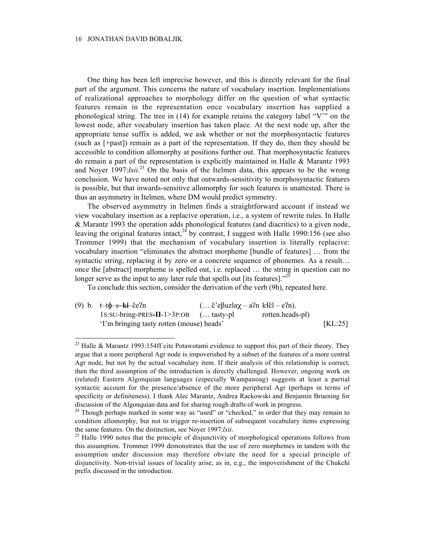One thing has been left imprecise however, and this is directly relevant for the final part of the argument. This concerns the nature of vocabulary insertion. Implementations of realizational approaches to morphology differ on the question of what syntactic features remain in the representation once vocabulary insertion has supplied a phonological string. The tree in  $(14)$  for example retains the category label "V°" on the lowest node, after vocabulary insertion has taken place. At the next node up, after the appropriate tense suffix is added, we ask whether or not the morphosyntactic features (such as [+past]) remain as a part of the representation. If they do, then they should be accessible to condition allomorphy at positions further out. That morphosyntactic features do remain a part of the representation is explicitly maintained in Halle & Marantz 1993 and Noyer  $1997$ :*lxii*.<sup>23</sup> On the basis of the Itelmen data, this appears to be the wrong conclusion. We have noted not only that outwards-sensitivity to morphosyntactic features is possible, but that inwards-sensitive allomorphy for such features is unattested. There is thus an asymmetry in Itelmen, where DM would predict symmetry.

The observed asymmetry in Itelmen finds a straightforward account if instead we view vocabulary insertion as a replacive operation, i.e., a system of rewrite rules. In Halle & Marantz 1993 the operation adds phonological features (and diacritics) to a given node, leaving the original features intact,  $^{24}$  by contrast, I suggest with Halle 1990:156 (see also Trommer 1999) that the mechanism of vocabulary insertion is literally replacive: vocabulary insertion "eliminates the abstract morpheme [bundle of features] … from the syntactic string, replacing it by zero or a concrete sequence of phonemes. As a result... once the [abstract] morpheme is spelled out, i.e. replaced … the string in question can no longer serve as the input to any later rule that spells out [its features]."<sup>25</sup>

To conclude this section, consider the derivation of the verb (9b), repeated here.

| (9) b. $t-t\phi$ -s-ki-če?n                                          | $(\dots \check{c}^{\prime}e\beta uzlaz - a2n \kappa El - e2n).$ |                  |                       |
|----------------------------------------------------------------------|-----------------------------------------------------------------|------------------|-----------------------|
| $1s:SU\text{-}bring\text{-}PRES\text{-}II\text{-}1>3P:OB$ ( tasty-pl |                                                                 | rotten.heads-pl) |                       |
| 'I'm bringing tasty rotten (mouse) heads'                            |                                                                 |                  | $\left[ KL:25\right]$ |

<sup>&</sup>lt;sup>23</sup> Halle & Marantz 1993:154ff cite Potawotami evidence to support this part of their theory. They argue that a more peripheral Agr node is impoverished by a subset of the features of a more central Agr node, but not by the actual vocabulary item. If their analysis of this relationship is correct, then the third assumption of the introduction is directly challenged. However, ongoing work on (related) Eastern Algonquian languages (especially Wampanoag) suggests at least a partial syntactic account for the presence/absence of the more peripheral Agr (perhaps in terms of specificity or definiteness). I thank Alec Marantz, Andrea Rackowski and Benjamin Bruening for discussion of the Algonquian data and for sharing rough drafts of work in progress.

 $24$  Though perhaps marked in some way as "used" or "checked," in order that they may remain to condition allomorphy, but not to trigger re-insertion of subsequent vocabulary items expressing the same features. On the distinction, see Noyer 1997:*lxii*.

 $25$  Halle 1990 notes that the principle of disjunctivity of morphological operations follows from this assumption. Trommer 1999 demonstrates that the use of zero morphemes in tandem with the assumption under discussion may therefore obviate the need for a special principle of disjunctivity. Non-trivial issues of locality arise, as in, e.g., the impoverishment of the Chukchi prefix discussed in the introduction.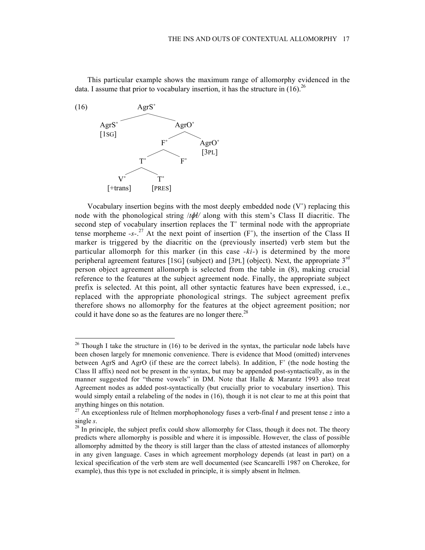This particular example shows the maximum range of allomorphy evidenced in the data. I assume that prior to vocabulary insertion, it has the structure in  $(16)^{26}$ 



Vocabulary insertion begins with the most deeply embedded node  $(V^{\circ})$  replacing this node with the phonological string /*t/* along with this stem's Class II diacritic. The second step of vocabulary insertion replaces the T° terminal node with the appropriate tense morpheme  $-s^{-27}$  At the next point of insertion  $(F^{\circ})$ , the insertion of the Class II marker is triggered by the diacritic on the (previously inserted) verb stem but the particular allomorph for this marker (in this case *-ki-*) is determined by the more peripheral agreement features [1sG] (subject) and [3PL] (object). Next, the appropriate 3<sup>rd</sup> person object agreement allomorph is selected from the table in (8), making crucial reference to the features at the subject agreement node. Finally, the appropriate subject prefix is selected. At this point, all other syntactic features have been expressed, i.e., replaced with the appropriate phonological strings. The subject agreement prefix therefore shows no allomorphy for the features at the object agreement position; nor could it have done so as the features are no longer there.<sup>28</sup>

<sup>&</sup>lt;sup>26</sup> Though I take the structure in (16) to be derived in the syntax, the particular node labels have been chosen largely for mnemonic convenience. There is evidence that Mood (omitted) intervenes between AgrS and AgrO (if these are the correct labels). In addition, F˚ (the node hosting the Class II affix) need not be present in the syntax, but may be appended post-syntactically, as in the manner suggested for "theme vowels" in DM. Note that Halle & Marantz 1993 also treat Agreement nodes as added post-syntactically (but crucially prior to vocabulary insertion). This would simply entail a relabeling of the nodes in (16), though it is not clear to me at this point that anything hinges on this notation.

<sup>&</sup>lt;sup>27</sup> An exceptionless rule of Itelmen morphophonology fuses a verb-final  $\ell$  and present tense *z* into a single *s*.

 $28$  In principle, the subject prefix could show allomorphy for Class, though it does not. The theory predicts where allomorphy is possible and where it is impossible. However, the class of possible allomorphy admitted by the theory is still larger than the class of attested instances of allomorphy in any given language. Cases in which agreement morphology depends (at least in part) on a lexical specification of the verb stem are well documented (see Scancarelli 1987 on Cherokee, for example), thus this type is not excluded in principle, it is simply absent in Itelmen.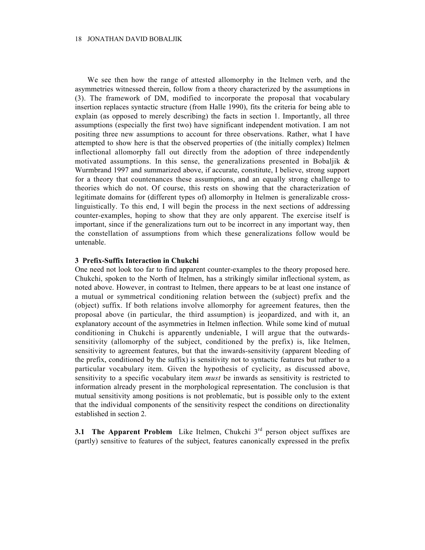We see then how the range of attested allomorphy in the Itelmen verb, and the asymmetries witnessed therein, follow from a theory characterized by the assumptions in (3). The framework of DM, modified to incorporate the proposal that vocabulary insertion replaces syntactic structure (from Halle 1990), fits the criteria for being able to explain (as opposed to merely describing) the facts in section 1. Importantly, all three assumptions (especially the first two) have significant independent motivation. I am not positing three new assumptions to account for three observations. Rather, what I have attempted to show here is that the observed properties of (the initially complex) Itelmen inflectional allomorphy fall out directly from the adoption of three independently motivated assumptions. In this sense, the generalizations presented in Bobaljik  $\&$ Wurmbrand 1997 and summarized above, if accurate, constitute, I believe, strong support for a theory that countenances these assumptions, and an equally strong challenge to theories which do not. Of course, this rests on showing that the characterization of legitimate domains for (different types of) allomorphy in Itelmen is generalizable crosslinguistically. To this end, I will begin the process in the next sections of addressing counter-examples, hoping to show that they are only apparent. The exercise itself is important, since if the generalizations turn out to be incorrect in any important way, then the constellation of assumptions from which these generalizations follow would be untenable.

### **3 Prefix-Suffix Interaction in Chukchi**

One need not look too far to find apparent counter-examples to the theory proposed here. Chukchi, spoken to the North of Itelmen, has a strikingly similar inflectional system, as noted above. However, in contrast to Itelmen, there appears to be at least one instance of a mutual or symmetrical conditioning relation between the (subject) prefix and the (object) suffix. If both relations involve allomorphy for agreement features, then the proposal above (in particular, the third assumption) is jeopardized, and with it, an explanatory account of the asymmetries in Itelmen inflection. While some kind of mutual conditioning in Chukchi is apparently undeniable, I will argue that the outwardssensitivity (allomorphy of the subject, conditioned by the prefix) is, like Itelmen, sensitivity to agreement features, but that the inwards-sensitivity (apparent bleeding of the prefix, conditioned by the suffix) is sensitivity not to syntactic features but rather to a particular vocabulary item. Given the hypothesis of cyclicity, as discussed above, sensitivity to a specific vocabulary item *must* be inwards as sensitivity is restricted to information already present in the morphological representation. The conclusion is that mutual sensitivity among positions is not problematic, but is possible only to the extent that the individual components of the sensitivity respect the conditions on directionality established in section 2.

**3.1 The Apparent Problem** Like Itelmen, Chukchi 3<sup>rd</sup> person object suffixes are (partly) sensitive to features of the subject, features canonically expressed in the prefix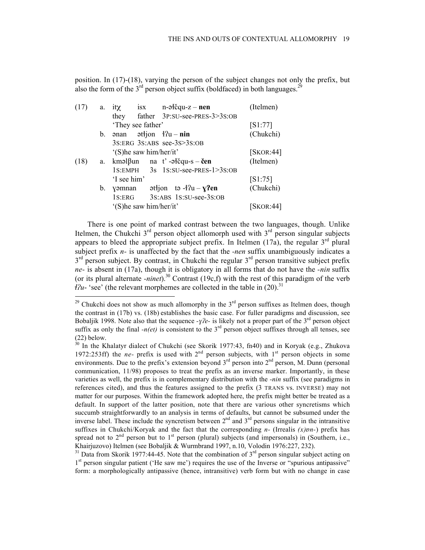position. In (17)-(18), varying the person of the subject changes not only the prefix, but also the form of the  $3<sup>rd</sup>$  person object suffix (boldfaced) in both languages.<sup>29</sup>

| a.      | it $\chi$   |    |                              | (Itelmen)                                                                                                                                                                                                                                                                                                                                                                                                                                                                                                                                                                         |
|---------|-------------|----|------------------------------|-----------------------------------------------------------------------------------------------------------------------------------------------------------------------------------------------------------------------------------------------------------------------------------------------------------------------------------------------------------------------------------------------------------------------------------------------------------------------------------------------------------------------------------------------------------------------------------|
|         | they        |    |                              |                                                                                                                                                                                                                                                                                                                                                                                                                                                                                                                                                                                   |
|         |             |    |                              | [S1:77]                                                                                                                                                                                                                                                                                                                                                                                                                                                                                                                                                                           |
| b.      | ənan        |    |                              | (Chukchi)                                                                                                                                                                                                                                                                                                                                                                                                                                                                                                                                                                         |
|         |             |    |                              |                                                                                                                                                                                                                                                                                                                                                                                                                                                                                                                                                                                   |
|         |             |    |                              | [SKOR:44]                                                                                                                                                                                                                                                                                                                                                                                                                                                                                                                                                                         |
|         |             |    |                              | (Itelmen)                                                                                                                                                                                                                                                                                                                                                                                                                                                                                                                                                                         |
|         |             |    |                              |                                                                                                                                                                                                                                                                                                                                                                                                                                                                                                                                                                                   |
|         | 'I see him' |    |                              | [S1:75]                                                                                                                                                                                                                                                                                                                                                                                                                                                                                                                                                                           |
| $b_{-}$ | yəmnan      |    |                              | (Chukchi)                                                                                                                                                                                                                                                                                                                                                                                                                                                                                                                                                                         |
|         | 1s:ERG      |    |                              |                                                                                                                                                                                                                                                                                                                                                                                                                                                                                                                                                                                   |
|         |             |    |                              | [SKOR:44]                                                                                                                                                                                                                                                                                                                                                                                                                                                                                                                                                                         |
|         |             | a. | 'They see father'<br>1S:EMPH | isx $n-\theta$ icqu-z – nen<br>father 3P:SU-see-PRES-3>3S:OB<br>3S:ERG 3S:ABS see-3S>3S:OB<br>'(S)he saw him/her/it'<br>kməl $\beta$ un na t'-ətčqu-s – čen<br>$3s$ 1s:SU-see-PRES-1>3s:OB<br>$\mathsf{at}$ = $\mathsf{at}$ = $\mathsf{at}$ = $\mathsf{at}$ = $\mathsf{at}$ = $\mathsf{at}$ = $\mathsf{at}$ = $\mathsf{at}$ = $\mathsf{at}$ = $\mathsf{at}$ = $\mathsf{at}$ = $\mathsf{at}$ = $\mathsf{at}$ = $\mathsf{at}$ = $\mathsf{at}$ = $\mathsf{at}$ = $\mathsf{at}$ = $\mathsf{at}$ = $\mathsf{at}$ = $\mathsf{at}$ =<br>3S:ABS 1S:SU-see-3S:OB<br>'(S)he saw him/her/it' |

There is one point of marked contrast between the two languages, though. Unlike Itelmen, the Chukchi  $3<sup>rd</sup>$  person object allomorph used with  $3<sup>rd</sup>$  person singular subjects appears to bleed the appropriate subject prefix. In Itelmen  $(17a)$ , the regular  $3<sup>rd</sup>$  plural subject prefix *n-* is unaffected by the fact that the *-nen* suffix unambiguously indicates a  $3<sup>rd</sup>$  person subject. By contrast, in Chukchi the regular  $3<sup>rd</sup>$  person transitive subject prefix *ne-* is absent in (17a), though it is obligatory in all forms that do not have the *-nin* suffix (or its plural alternate *-ninet*).<sup>30</sup> Contrast (19c,f) with the rest of this paradigm of the verb  $\ell$ <sup>2</sup> $u$ - 'see' (the relevant morphemes are collected in the table in (20).<sup>31</sup>

 $31$  Data from Skorik 1977:44-45. Note that the combination of  $3<sup>rd</sup>$  person singular subject acting on 1<sup>st</sup> person singular patient ('He saw me') requires the use of the Inverse or "spurious antipassive" form: a morphologically antipassive (hence, intransitive) verb form but with no change in case

<sup>&</sup>lt;sup>29</sup> Chukchi does not show as much allomorphy in the  $3<sup>rd</sup>$  person suffixes as Itelmen does, though the contrast in (17b) vs. (18b) establishes the basic case. For fuller paradigms and discussion, see Bobaljik 1998. Note also that the sequence *-yle*- is likely not a proper part of the 3<sup>rd</sup> person object suffix as only the final  $-n(\epsilon t)$  is consistent to the 3<sup>rd</sup> person object suffixes through all tenses, see (22) below.

 $30$  In the Khalatyr dialect of Chukchi (see Skorik 1977:43, fn40) and in Koryak (e.g., Zhukova 1972:253ff) the  $ne$ - prefix is used with  $2<sup>nd</sup>$  person subjects, with  $1<sup>st</sup>$  person objects in some environments. Due to the prefix's extension beyond  $3<sup>rd</sup>$  person into  $2<sup>nd</sup>$  person, M. Dunn (personal communication, 11/98) proposes to treat the prefix as an inverse marker. Importantly, in these varieties as well, the prefix is in complementary distribution with the *-nin* suffix (see paradigms in references cited), and thus the features assigned to the prefix (3 TRANS vs. INVERSE) may not matter for our purposes. Within the framework adopted here, the prefix might better be treated as a default. In support of the latter position, note that there are various other syncretisms which succumb straightforwardly to an analysis in terms of defaults, but cannot be subsumed under the inverse label. These include the syncretism between  $2<sup>nd</sup>$  and  $3<sup>rd</sup>$  persons singular in the intransitive suffixes in Chukchi/Koryak and the fact that the corresponding *n*- (Irrealis  $(x)$ *pn*-) prefix has spread not to  $2<sup>nd</sup>$  person but to 1<sup>st</sup> person (plural) subjects (and impersonals) in (Southern, i.e., Khairjuzovo) Itelmen (see Bobaljik & Wurmbrand 1997, n.10, Volodin 1976:227, 232).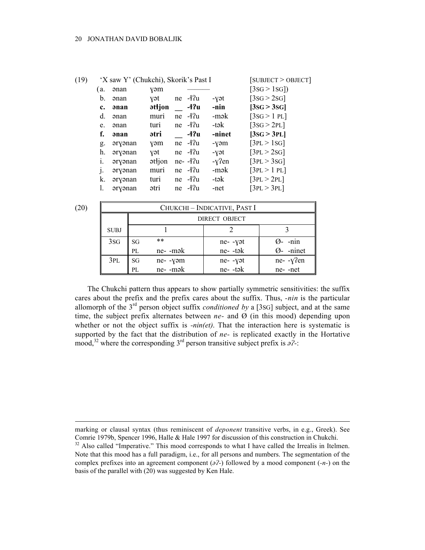| (19) |                | 'X saw Y' (Chukchi), Skorik's Past I |               |                            |        | [SUBJECT > OBJECT] |
|------|----------------|--------------------------------------|---------------|----------------------------|--------|--------------------|
|      | (a.            | ənan                                 | yəm           |                            |        | [3SG > 1SG]        |
|      | b.             | <b>anan</b>                          | vət           | $ne$ $-1$ ?u               | -yət   | [3SG > 2SG]        |
|      | $c_{\cdot}$    | <b>anan</b>                          | <b>attion</b> | -17u                       | -nin   | [3SG > 3SG]        |
|      | d.             | <b>anan</b>                          | muri          | $ne$ $-4$ ?u               | -mək   | [3SG > 1 PL]       |
|      | e.             | ənan                                 | turi          | $ne$ $-1$ <sup>2</sup> $u$ | -tək   | [3SG > 2PL]        |
|      | f.             | <b>anan</b>                          | ətri          | -ł?u                       | -ninet | [3SG > 3PL]        |
|      | g.             | əryənan                              | yəm           | $ne$ $-1$ <sup>2</sup> $u$ | -yəm   | [3PL > 1SG]        |
|      | h.             | əryənan                              | yət           | $ne$ $-1$ <sup>2</sup> $u$ | -yət   | [3PL > 2SG]        |
|      | $\mathbf{1}$ . | əryənan                              | $əti$ jon     | $ne-42u$                   | -y?en  | [3PL > 3SG]        |
|      | j.             | əryənan                              | muri          | $ne$ $-4$ ?u               | -mək   | [3PL > 1 PL]       |
|      | k.             | əryənan                              | turi          | $ne$ $-4$ ?u               | -tək   | [3PL > 2PL]        |
|      | 1.             | əryənan                              | ətri          | $ne$ $-4$ ?u               | -net   | [3PL > 3PL]        |
|      |                |                                      |               |                            |        |                    |

 $\overline{a}$ 

| (20) |             |                                       | CHUKCHI - INDICATIVE, PAST I |                    |                    |  |  |  |  |  |
|------|-------------|---------------------------------------|------------------------------|--------------------|--------------------|--|--|--|--|--|
|      |             |                                       | DIRECT OBJECT                |                    |                    |  |  |  |  |  |
|      | <b>SUBJ</b> |                                       |                              |                    |                    |  |  |  |  |  |
|      | 3SG         | $***$<br>SG                           |                              | ne- -yət           | $\varnothing$ -nin |  |  |  |  |  |
|      |             | $ne-$ -mə $k$<br>PL<br>SG<br>ne- -yəm |                              | ne--tək            | Ø- -ninet          |  |  |  |  |  |
|      | 3PL         |                                       |                              | ne--yət<br>ne--tək | ne--y?en           |  |  |  |  |  |
|      |             | PI.                                   | ne- -mək                     |                    | ne--net            |  |  |  |  |  |

The Chukchi pattern thus appears to show partially symmetric sensitivities: the suffix cares about the prefix and the prefix cares about the suffix. Thus, *-nin* is the particular allomorph of the 3rd person object suffix *conditioned by* a [3SG] subject, and at the same time, the subject prefix alternates between  $ne$ - and  $\ddot{\textit{Q}}$  (in this mood) depending upon whether or not the object suffix is *-nin(et)*. That the interaction here is systematic is supported by the fact that the distribution of *ne-* is replicated exactly in the Hortative mood,<sup>32</sup> where the corresponding 3<sup>rd</sup> person transitive subject prefix is  $\partial$ ?-:

marking or clausal syntax (thus reminiscent of *deponent* transitive verbs, in e.g., Greek). See Comrie 1979b, Spencer 1996, Halle & Hale 1997 for discussion of this construction in Chukchi.

<sup>&</sup>lt;sup>32</sup> Also called "Imperative." This mood corresponds to what I have called the Irrealis in Itelmen. Note that this mood has a full paradigm, i.e., for all persons and numbers. The segmentation of the complex prefixes into an agreement component  $(\partial^2)$  followed by a mood component  $(-n-)$  on the basis of the parallel with (20) was suggested by Ken Hale.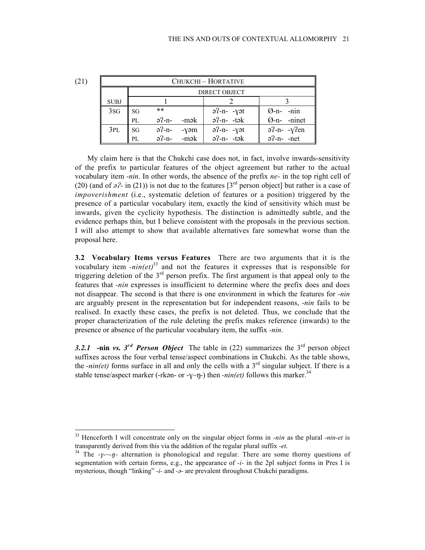| (21) |             | CHUKCHI – HORTATIVE |               |                     |               |                |  |  |  |  |  |
|------|-------------|---------------------|---------------|---------------------|---------------|----------------|--|--|--|--|--|
|      |             |                     | DIRECT OBJECT |                     |               |                |  |  |  |  |  |
|      | <b>SUBJ</b> |                     |               |                     |               |                |  |  |  |  |  |
|      | 3SG         | SG                  | $***$         |                     | $a^2-n$ - yət | $Q$ -n- -nin   |  |  |  |  |  |
|      |             | PL                  | $a^2-n$       | -mək                | $a^2-n-1$     | Ø-n- -ninet    |  |  |  |  |  |
|      | 3PL         | SG                  |               | $a^2-n$ - yəm       | $a^2-n-1$     | $a^2-n-ry^2en$ |  |  |  |  |  |
|      |             | PL                  |               | $a^2-n$ - $-m\ge k$ | $a^2-n-1$     | $a^2-n$ -net   |  |  |  |  |  |

My claim here is that the Chukchi case does not, in fact, involve inwards-sensitivity of the prefix to particular features of the object agreement but rather to the actual vocabulary item *-nin*. In other words, the absence of the prefix *ne-* in the top right cell of (20) (and of  $a^2$ - in (21)) is not due to the features  $3<sup>rd</sup>$  person object] but rather is a case of *impoverishment* (i.e., systematic deletion of features or a position) triggered by the presence of a particular vocabulary item, exactly the kind of sensitivity which must be inwards, given the cyclicity hypothesis. The distinction is admittedly subtle, and the evidence perhaps thin, but I believe consistent with the proposals in the previous section. I will also attempt to show that available alternatives fare somewhat worse than the proposal here.

**3.2 Vocabulary Items versus Features** There are two arguments that it is the vocabulary item  $\text{-}nin (et)^{33}$  and not the features it expresses that is responsible for triggering deletion of the  $3<sup>rd</sup>$  person prefix. The first argument is that appeal only to the features that *-nin* expresses is insufficient to determine where the prefix does and does not disappear. The second is that there is one environment in which the features for *-nin* are arguably present in the representation but for independent reasons, *-nin* fails to be realised. In exactly these cases, the prefix is not deleted. Thus, we conclude that the proper characterization of the rule deleting the prefix makes reference (inwards) to the presence or absence of the particular vocabulary item, the suffix *-nin*.

3.2.1 **-nin** *vs.*  $3^{rd}$  *Person Object* The table in (22) summarizes the  $3^{rd}$  person object suffixes across the four verbal tense/aspect combinations in Chukchi. As the table shows, the *-nin(et)* forms surface in all and only the cells with a  $3<sup>rd</sup>$  singular subject. If there is a stable tense/aspect marker (-rkan- or -y~n-) then *-nin(et)* follows this marker.<sup>34</sup>

<sup>33</sup> Henceforth I will concentrate only on the singular object forms in *-nin* as the plural *-nin-et* is transparently derived from this via the addition of the regular plural suffix *-et*.

<sup>34</sup> The *--~--* alternation is phonological and regular. There are some thorny questions of segmentation with certain forms, e.g., the appearance of *-i-* in the 2pl subject forms in Pres I is mysterious, though "linking" *-i-* and *-a-* are prevalent throughout Chukchi paradigms.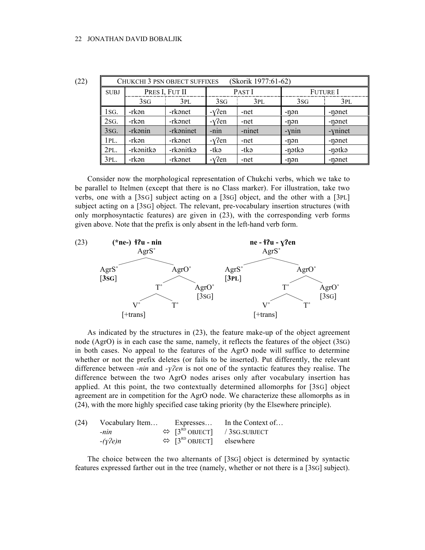| (22) | (Skorik 1977:61-62)<br>CHUKCHI 3 PSN OBJECT SUFFIXES |           |                |                 |                   |                 |         |  |
|------|------------------------------------------------------|-----------|----------------|-----------------|-------------------|-----------------|---------|--|
|      | <b>SUBJ</b>                                          |           | PRES I, FUT II |                 | PAST <sub>I</sub> | <b>Future I</b> |         |  |
|      |                                                      | 3SG       | 3PL            | 3S <sub>G</sub> | 3PL               | 3SG             | 3PL     |  |
|      | 1SG.                                                 | -rkən     | -rkənet        | $-y$ ?en        | -net              | -nən            | -nənet  |  |
|      | 2sG.                                                 | -rkən     | -rkənet        | $-Y$ ?en        | -net              | -nən            | -nənet  |  |
|      | 3SG.                                                 | -rkənin   | -rkaninet      | $-nin$          | -ninet            | -ynin           | -yninet |  |
|      | 1PL.                                                 | -rkən     | -rkənet        | $-Y$ ?en        | -net              | -nən            | -nənet  |  |
|      | 2PL.                                                 | -rkənitkə | -rkənitkə      | -tkə            | -tkə              | -nətkə          | -nətkə  |  |
|      | 3PL.                                                 | -rkən     | -rkanet        | $-Y$ ?en        | -net              | -nən            | -nənet  |  |

Consider now the morphological representation of Chukchi verbs, which we take to be parallel to Itelmen (except that there is no Class marker). For illustration, take two verbs, one with a [3SG] subject acting on a [3SG] object, and the other with a [3PL] subject acting on a [3SG] object. The relevant, pre-vocabulary insertion structures (with only morphosyntactic features) are given in (23), with the corresponding verb forms given above. Note that the prefix is only absent in the left-hand verb form.



As indicated by the structures in (23), the feature make-up of the object agreement node (AgrO) is in each case the same, namely, it reflects the features of the object (3SG) in both cases. No appeal to the features of the AgrO node will suffice to determine whether or not the prefix deletes (or fails to be inserted). Put differently, the relevant difference between *-nin* and *-yen* is not one of the syntactic features they realise. The difference between the two AgrO nodes arises only after vocabulary insertion has applied. At this point, the two contextually determined allomorphs for [3SG] object agreement are in competition for the AgrO node. We characterize these allomorphs as in (24), with the more highly specified case taking priority (by the Elsewhere principle).

| (24) | Vocabulary Item  | Expresses                                            | In the Context of                                        |
|------|------------------|------------------------------------------------------|----------------------------------------------------------|
|      | $-nin$           |                                                      | $\Leftrightarrow$ [3 <sup>RD</sup> OBJECT] / 3SG.SUBJECT |
|      | $-(\gamma^2 e)n$ | $\Leftrightarrow$ [3 <sup>RD</sup> OBJECT] elsewhere |                                                          |

The choice between the two alternants of [3SG] object is determined by syntactic features expressed farther out in the tree (namely, whether or not there is a [3SG] subject).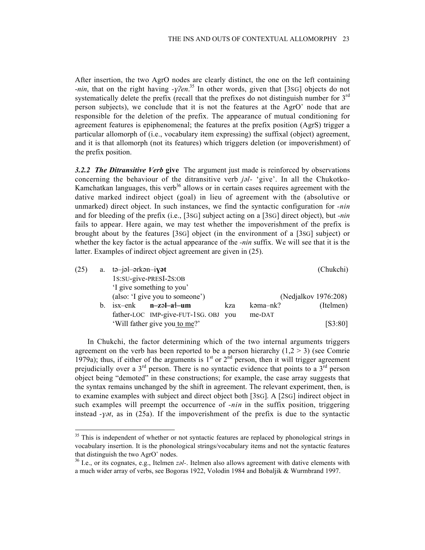After insertion, the two AgrO nodes are clearly distinct, the one on the left containing *-nin*, that on the right having *-y*?*en*.<sup>35</sup> In other words, given that [3sG] objects do not systematically delete the prefix (recall that the prefixes do not distinguish number for  $3<sup>rd</sup>$ person subjects), we conclude that it is not the features at the AgrO˚ node that are responsible for the deletion of the prefix. The appearance of mutual conditioning for agreement features is epiphenomenal; the features at the prefix position (AgrS) trigger a particular allomorph of (i.e., vocabulary item expressing) the suffixal (object) agreement, and it is that allomorph (not its features) which triggers deletion (or impoverishment) of the prefix position.

*3.2.2 The Ditransitive Verb* **give** The argument just made is reinforced by observations concerning the behaviour of the ditransitive verb *jl-* 'give'. In all the Chukotko-Kamchatkan languages, this verb<sup>36</sup> allows or in certain cases requires agreement with the dative marked indirect object (goal) in lieu of agreement with the (absolutive or unmarked) direct object. In such instances, we find the syntactic configuration for *-nin* and for bleeding of the prefix (i.e., [3SG] subject acting on a [3SG] direct object), but *-nin* fails to appear. Here again, we may test whether the impoverishment of the prefix is brought about by the features [3SG] object (in the environment of a [3SG] subject) or whether the key factor is the actual appearance of the *-nin* suffix. We will see that it is the latter. Examples of indirect object agreement are given in (25).

| (25) | a. $t\rightarrow -j\rightarrow -k\rightarrow -i\rightarrow t$<br>(Chukchi) |                                      |     |          |           |  |  |
|------|----------------------------------------------------------------------------|--------------------------------------|-----|----------|-----------|--|--|
|      |                                                                            | 1s:su-give-PRESI-2s:OB               |     |          |           |  |  |
|      | 'I give something to you'                                                  |                                      |     |          |           |  |  |
|      | (also: 'I give you to someone')<br>(Nedjalkov 1976:208)                    |                                      |     |          |           |  |  |
|      | b. isx-enk                                                                 | n-zəl-a <sup>{</sup> -um             | kza | kəma-nk? | (Itelmen) |  |  |
|      |                                                                            | father-LOC IMP-give-FUT-1SG. OBJ you |     | me-DAT   |           |  |  |
|      |                                                                            | 'Will father give you to me?'        |     |          | [S3:80]   |  |  |

In Chukchi, the factor determining which of the two internal arguments triggers agreement on the verb has been reported to be a person hierarchy  $(1,2 > 3)$  (see Comrie 1979a); thus, if either of the arguments is  $1<sup>st</sup>$  or  $2<sup>nd</sup>$  person, then it will trigger agreement prejudicially over a  $3<sup>rd</sup>$  person. There is no syntactic evidence that points to a  $3<sup>rd</sup>$  person object being "demoted" in these constructions; for example, the case array suggests that the syntax remains unchanged by the shift in agreement. The relevant experiment, then, is to examine examples with subject and direct object both [3SG]. A [2SG] indirect object in such examples will preempt the occurrence of *-nin* in the suffix position, triggering instead *-y* $\alpha$ , as in (25a). If the impoverishment of the prefix is due to the syntactic

 $35$  This is independent of whether or not syntactic features are replaced by phonological strings in vocabulary insertion. It is the phonological strings/vocabulary items and not the syntactic features that distinguish the two AgrO˚ nodes.

<sup>36</sup> I.e., or its cognates, e.g., Itelmen *zl-*. Itelmen also allows agreement with dative elements with a much wider array of verbs, see Bogoras 1922, Volodin 1984 and Bobaljik & Wurmbrand 1997.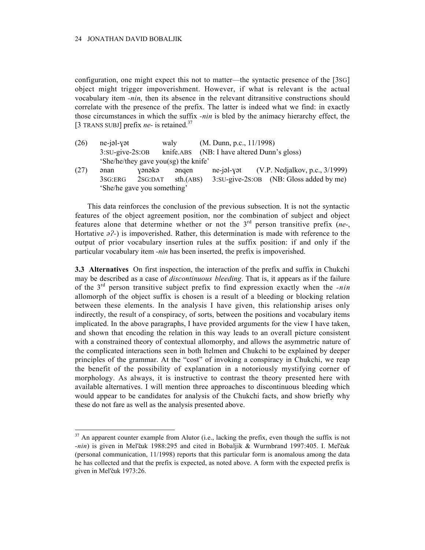configuration, one might expect this not to matter—the syntactic presence of the [3SG] object might trigger impoverishment. However, if what is relevant is the actual vocabulary item *-nin*, then its absence in the relevant ditransitive constructions should correlate with the presence of the prefix. The latter is indeed what we find: in exactly those circumstances in which the suffix *-nin* is bled by the animacy hierarchy effect, the [3 TRANS SUBJ] prefix *ne*- is retained.<sup>37</sup>

| (26) | ne-jəl-yət                  |                                      | walv      | $(M.$ Dunn, p.c., $11/1998)$ |                                             |  |
|------|-----------------------------|--------------------------------------|-----------|------------------------------|---------------------------------------------|--|
|      | $3:SU-give-2S:OB$           |                                      |           |                              | knife.ABS (NB: I have altered Dunn's gloss) |  |
|      |                             | 'She/he/they gave you(sg) the knife' |           |                              |                                             |  |
| (27) | ənan                        | yənəkə                               | əngen     |                              | ne-jəl-yət $(V.P. Nedjalkov, p.c., 3/1999)$ |  |
|      | 3SG:ERG                     | 2SG:DAT                              | sth.(ABS) |                              | 3:SU-give-2S:OB (NB: Gloss added by me)     |  |
|      | 'She/he gave you something' |                                      |           |                              |                                             |  |

This data reinforces the conclusion of the previous subsection. It is not the syntactic features of the object agreement position, nor the combination of subject and object features alone that determine whether or not the 3rd person transitive prefix (*ne-*, Hortative  $\partial^2$ ) is impoverished. Rather, this determination is made with reference to the output of prior vocabulary insertion rules at the suffix position: if and only if the particular vocabulary item *-nin* has been inserted, the prefix is impoverished.

**3.3 Alternatives** On first inspection, the interaction of the prefix and suffix in Chukchi may be described as a case of *discontinuous bleeding*. That is, it appears as if the failure of the 3rd person transitive subject prefix to find expression exactly when the *-nin* allomorph of the object suffix is chosen is a result of a bleeding or blocking relation between these elements. In the analysis I have given, this relationship arises only indirectly, the result of a conspiracy, of sorts, between the positions and vocabulary items implicated. In the above paragraphs, I have provided arguments for the view I have taken, and shown that encoding the relation in this way leads to an overall picture consistent with a constrained theory of contextual allomorphy, and allows the asymmetric nature of the complicated interactions seen in both Itelmen and Chukchi to be explained by deeper principles of the grammar. At the "cost" of invoking a conspiracy in Chukchi, we reap the benefit of the possibility of explanation in a notoriously mystifying corner of morphology. As always, it is instructive to contrast the theory presented here with available alternatives. I will mention three approaches to discontinuous bleeding which would appear to be candidates for analysis of the Chukchi facts, and show briefly why these do not fare as well as the analysis presented above.

 $37$  An apparent counter example from Alutor (i.e., lacking the prefix, even though the suffix is not *-nin*) is given in Mel'čuk 1988:295 and cited in Bobaljik & Wurmbrand 1997:405. I. Mel'čuk (personal communication, 11/1998) reports that this particular form is anomalous among the data he has collected and that the prefix is expected, as noted above. A form with the expected prefix is given in Mel'čuk 1973:26.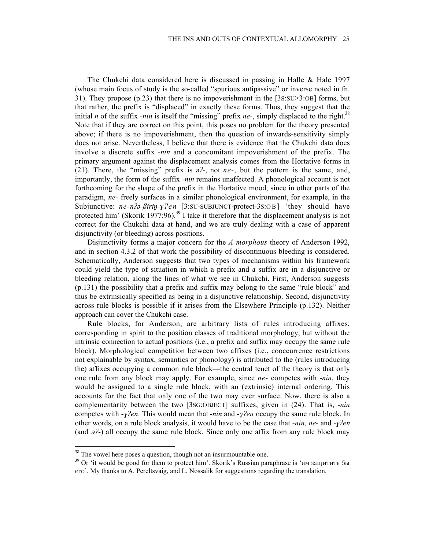The Chukchi data considered here is discussed in passing in Halle & Hale 1997 (whose main focus of study is the so-called "spurious antipassive" or inverse noted in fn. 31). They propose (p.23) that there is no impoverishment in the [3S:SU>3:OB] forms, but that rather, the prefix is "displaced" in exactly these forms. Thus, they suggest that the initial *n* of the suffix *-nin* is itself the "missing" prefix *ne*-, simply displaced to the right.<sup>38</sup> Note that if they are correct on this point, this poses no problem for the theory presented above; if there is no impoverishment, then the question of inwards-sensitivity simply does not arise. Nevertheless, I believe that there is evidence that the Chukchi data does involve a discrete suffix *-nin* and a concomitant impoverishment of the prefix. The primary argument against the displacement analysis comes from the Hortative forms in (21). There, the "missing" prefix is  $\partial^2$ -, not *ne*-, but the pattern is the same, and, importantly, the form of the suffix *-nin* remains unaffected. A phonological account is not forthcoming for the shape of the prefix in the Hortative mood, since in other parts of the paradigm, *ne-* freely surfaces in a similar phonological environment, for example, in the Subjunctive:  $ne-n^2-$ *Birin-y*<sup>2</sup>en [3:SU-SUBJUNCT-protect-3S:OB] 'they should have protected him' (Skorik 1977:96).<sup>39</sup> I take it therefore that the displacement analysis is not correct for the Chukchi data at hand, and we are truly dealing with a case of apparent disjunctivity (or bleeding) across positions.

Disjunctivity forms a major concern for the *A-morphous* theory of Anderson 1992, and in section 4.3.2 of that work the possibility of discontinuous bleeding is considered. Schematically, Anderson suggests that two types of mechanisms within his framework could yield the type of situation in which a prefix and a suffix are in a disjunctive or bleeding relation, along the lines of what we see in Chukchi. First, Anderson suggests (p.131) the possibility that a prefix and suffix may belong to the same "rule block" and thus be extrinsically specified as being in a disjunctive relationship. Second, disjunctivity across rule blocks is possible if it arises from the Elsewhere Principle (p.132). Neither approach can cover the Chukchi case.

Rule blocks, for Anderson, are arbitrary lists of rules introducing affixes, corresponding in spirit to the position classes of traditional morphology, but without the intrinsic connection to actual positions (i.e., a prefix and suffix may occupy the same rule block). Morphological competition between two affixes (i.e., cooccurrence restrictions not explainable by syntax, semantics or phonology) is attributed to the (rules introducing the) affixes occupying a common rule block—the central tenet of the theory is that only one rule from any block may apply. For example, since *ne-* competes with *-nin*, they would be assigned to a single rule block, with an (extrinsic) internal ordering. This accounts for the fact that only one of the two may ever surface. Now, there is also a complementarity between the two [3SG:OBJECT] suffixes, given in (24). That is, *-nin* competes with *-ylen*. This would mean that *-nin* and *-ylen* occupy the same rule block. In other words, on a rule block analysis, it would have to be the case that *-nin*, *ne-* and *-yen* (and  $\partial^2$ ) all occupy the same rule block. Since only one affix from any rule block may

<sup>&</sup>lt;sup>38</sup> The vowel here poses a question, though not an insurmountable one.

<sup>&</sup>lt;sup>39</sup> Or 'it would be good for them to protect him'. Skorik's Russian paraphrase is ' $\mu$ м защитить бы ero'. My thanks to A. Pereltsvaig, and L. Nossalik for suggestions regarding the translation.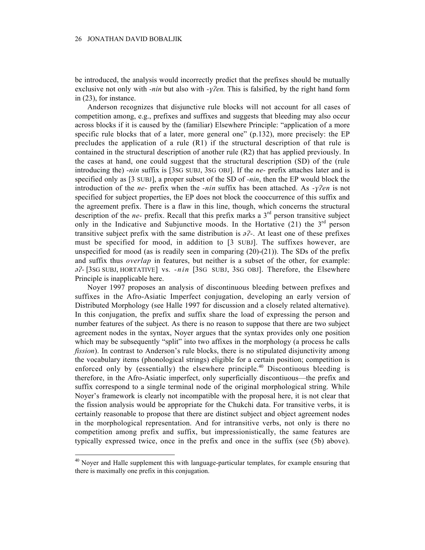be introduced, the analysis would incorrectly predict that the prefixes should be mutually exclusive not only with *-nin* but also with *-yen*. This is falsified, by the right hand form in (23), for instance.

Anderson recognizes that disjunctive rule blocks will not account for all cases of competition among, e.g., prefixes and suffixes and suggests that bleeding may also occur across blocks if it is caused by the (familiar) Elsewhere Principle: "application of a more specific rule blocks that of a later, more general one"  $(p.132)$ , more precisely: the EP precludes the application of a rule (R1) if the structural description of that rule is contained in the structural description of another rule (R2) that has applied previously. In the cases at hand, one could suggest that the structural description (SD) of the (rule introducing the) *-nin* suffix is [3SG SUBJ, 3SG OBJ]. If the *ne-* prefix attaches later and is specified only as [3 SUBJ], a proper subset of the SD of *-nin*, then the EP would block the introduction of the *ne*- prefix when the *-nin* suffix has been attached. As *-yen* is not specified for subject properties, the EP does not block the cooccurrence of this suffix and the agreement prefix. There is a flaw in this line, though, which concerns the structural description of the *ne*- prefix. Recall that this prefix marks a 3<sup>rd</sup> person transitive subject only in the Indicative and Subjunctive moods. In the Hortative  $(21)$  the 3<sup>rd</sup> person transitive subject prefix with the same distribution is  $\partial^2$ . At least one of these prefixes must be specified for mood, in addition to [3 SUBJ]. The suffixes however, are unspecified for mood (as is readily seen in comparing  $(20)-(21)$ ). The SDs of the prefix and suffix thus *overlap* in features, but neither is a subset of the other, for example: *-* [3SG SUBJ, HORTATIVE] vs. *-nin* [3SG SUBJ, 3SG OBJ]. Therefore, the Elsewhere Principle is inapplicable here.

Noyer 1997 proposes an analysis of discontinuous bleeding between prefixes and suffixes in the Afro-Asiatic Imperfect conjugation, developing an early version of Distributed Morphology (see Halle 1997 for discussion and a closely related alternative). In this conjugation, the prefix and suffix share the load of expressing the person and number features of the subject. As there is no reason to suppose that there are two subject agreement nodes in the syntax, Noyer argues that the syntax provides only one position which may be subsequently "split" into two affixes in the morphology (a process he calls *fission*). In contrast to Anderson's rule blocks, there is no stipulated disjunctivity among the vocabulary items (phonological strings) eligible for a certain position; competition is enforced only by (essentially) the elsewhere principle.<sup>40</sup> Discontiuous bleeding is therefore, in the Afro-Asiatic imperfect, only superficially discontiuous—the prefix and suffix correspond to a single terminal node of the original morphological string. While Noyer's framework is clearly not incompatible with the proposal here, it is not clear that the fission analysis would be appropriate for the Chukchi data. For transitive verbs, it is certainly reasonable to propose that there are distinct subject and object agreement nodes in the morphological representation. And for intransitive verbs, not only is there no competition among prefix and suffix, but impressionistically, the same features are typically expressed twice, once in the prefix and once in the suffix (see (5b) above).

 $40$  Noyer and Halle supplement this with language-particular templates, for example ensuring that there is maximally one prefix in this conjugation.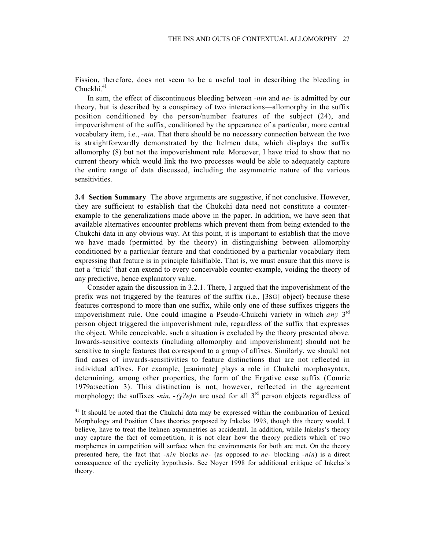Fission, therefore, does not seem to be a useful tool in describing the bleeding in  $Chuckhi.<sup>41</sup>$ 

In sum, the effect of discontinuous bleeding between *-nin* and *ne-* is admitted by our theory, but is described by a conspiracy of two interactions—allomorphy in the suffix position conditioned by the person/number features of the subject (24), and impoverishment of the suffix, conditioned by the appearance of a particular, more central vocabulary item, i.e., *-nin*. That there should be no necessary connection between the two is straightforwardly demonstrated by the Itelmen data, which displays the suffix allomorphy (8) but not the impoverishment rule. Moreover, I have tried to show that no current theory which would link the two processes would be able to adequately capture the entire range of data discussed, including the asymmetric nature of the various sensitivities.

**3.4 Section Summary** The above arguments are suggestive, if not conclusive. However, they are sufficient to establish that the Chukchi data need not constitute a counterexample to the generalizations made above in the paper. In addition, we have seen that available alternatives encounter problems which prevent them from being extended to the Chukchi data in any obvious way. At this point, it is important to establish that the move we have made (permitted by the theory) in distinguishing between allomorphy conditioned by a particular feature and that conditioned by a particular vocabulary item expressing that feature is in principle falsifiable. That is, we must ensure that this move is not a "trick" that can extend to every conceivable counter-example, voiding the theory of any predictive, hence explanatory value.

Consider again the discussion in 3.2.1. There, I argued that the impoverishment of the prefix was not triggered by the features of the suffix (i.e., [3SG] object) because these features correspond to more than one suffix, while only one of these suffixes triggers the impoverishment rule. One could imagine a Pseudo-Chukchi variety in which *any* 3rd person object triggered the impoverishment rule, regardless of the suffix that expresses the object. While conceivable, such a situation is excluded by the theory presented above. Inwards-sensitive contexts (including allomorphy and impoverishment) should not be sensitive to single features that correspond to a group of affixes. Similarly, we should not find cases of inwards-sensitivities to feature distinctions that are not reflected in individual affixes. For example, [±animate] plays a role in Chukchi morphosyntax, determining, among other properties, the form of the Ergative case suffix (Comrie 1979a:section 3). This distinction is not, however, reflected in the agreement morphology; the suffixes *-nin*,  $-(\gamma^2 e)n$  are used for all 3<sup>rd</sup> person objects regardless of

<sup>&</sup>lt;sup>41</sup> It should be noted that the Chukchi data may be expressed within the combination of Lexical Morphology and Position Class theories proposed by Inkelas 1993, though this theory would, I believe, have to treat the Itelmen asymmetries as accidental. In addition, while Inkelas's theory may capture the fact of competition, it is not clear how the theory predicts which of two morphemes in competition will surface when the environments for both are met. On the theory presented here, the fact that *-nin* blocks *ne-* (as opposed to *ne-* blocking *-nin*) is a direct consequence of the cyclicity hypothesis. See Noyer 1998 for additional critique of Inkelas's theory.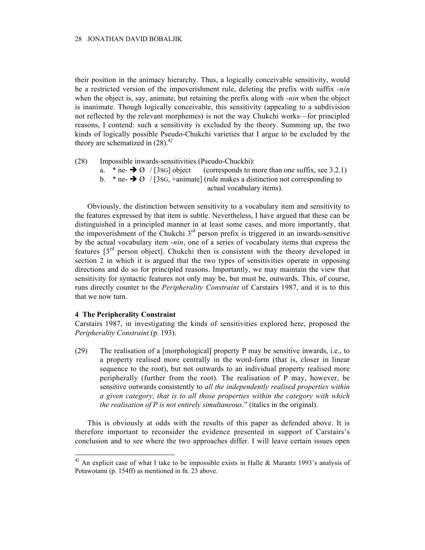their position in the animacy hierarchy. Thus, a logically conceivable sensitivity, would be a restricted version of the impoverishment rule, deleting the prefix with suffix *-nin* when the object is, say, animate, but retaining the prefix along with *-nin* when the object is inanimate. Though logically conceivable, this sensitivity (appealing to a subdivision not reflected by the relevant morphemes) is not the way Chukchi works—for principled reasons, I contend: such a sensitivity is excluded by the theory. Summing up, the two kinds of logically possible Pseudo-Chukchi varieties that I argue to be excluded by the theory are schematized in  $(28)^{42}$ .

- (28) Impossible inwards-sensitivities (Pseudo-Chuckhi):
	- a. \* ne-  $\rightarrow \emptyset$  / [3sG] object (corresponds to more than one suffix, see 3.2.1)
	- b. \* ne-  $\rightarrow$  Ø / [3sG, +animate] (rule makes a distinction not corresponding to
		- actual vocabulary items).

Obviously, the distinction between sensitivity to a vocabulary item and sensitivity to the features expressed by that item is subtle. Nevertheless, I have argued that these can be distinguished in a principled manner in at least some cases, and more importantly, that the impoverishment of the Chukchi  $3<sup>rd</sup>$  person prefix is triggered in an inwards-sensitive by the actual vocabulary item *-nin*, one of a series of vocabulary items that express the features  $3<sup>rd</sup>$  person object]. Chukchi then is consistent with the theory developed in section 2 in which it is argued that the two types of sensitivities operate in opposing directions and do so for principled reasons. Importantly, we may maintain the view that sensitivity for syntactic features not only may be, but must be, outwards. This, of course, runs directly counter to the *Peripherality Constraint* of Carstairs 1987, and it is to this that we now turn.

# **4 The Peripherality Constraint**

Carstairs 1987, in investigating the kinds of sensitivities explored here, proposed the *Peripherality Constraint* (p. 193).

(29) The realisation of a [morphological] property P may be sensitive inwards, i.e., to a property realised more centrally in the word-form (that is, closer in linear sequence to the root), but not outwards to an individual property realised more peripherally (further from the root). The realisation of P may, however, be sensitive outwards consistently to *all the independently realised properties within a given category, that is to all those properties within the category with which the realisation of P is not entirely simultaneous*." (italics in the original).

This is obviously at odds with the results of this paper as defended above. It is therefore important to reconsider the evidence presented in support of Carstairs's conclusion and to see where the two approaches differ. I will leave certain issues open

<sup>&</sup>lt;sup>42</sup> An explicit case of what I take to be impossible exists in Halle & Marantz 1993's analysis of Potawotami (p. 154ff) as mentioned in fn. 23 above.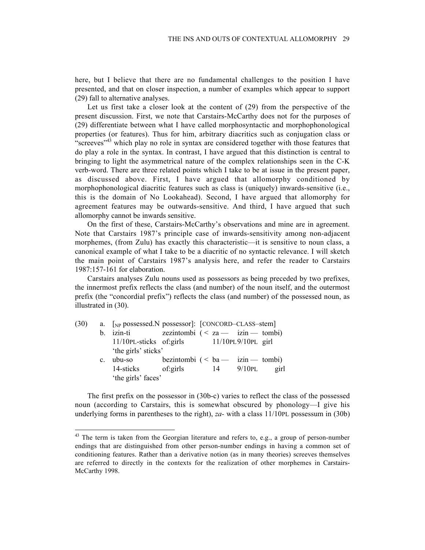here, but I believe that there are no fundamental challenges to the position I have presented, and that on closer inspection, a number of examples which appear to support (29) fall to alternative analyses.

Let us first take a closer look at the content of (29) from the perspective of the present discussion. First, we note that Carstairs-McCarthy does not for the purposes of (29) differentiate between what I have called morphosyntactic and morphophonological properties (or features). Thus for him, arbitrary diacritics such as conjugation class or "screeves"<sup>43</sup> which play no role in syntax are considered together with those features that do play a role in the syntax. In contrast, I have argued that this distinction is central to bringing to light the asymmetrical nature of the complex relationships seen in the C-K verb-word. There are three related points which I take to be at issue in the present paper, as discussed above. First, I have argued that allomorphy conditioned by morphophonological diacritic features such as class is (uniquely) inwards-sensitive (i.e., this is the domain of No Lookahead). Second, I have argued that allomorphy for agreement features may be outwards-sensitive. And third, I have argued that such allomorphy cannot be inwards sensitive.

On the first of these, Carstairs-McCarthy's observations and mine are in agreement. Note that Carstairs 1987's principle case of inwards-sensitivity among non-adjacent morphemes, (from Zulu) has exactly this characteristic—it is sensitive to noun class, a canonical example of what I take to be a diacritic of no syntactic relevance. I will sketch the main point of Carstairs 1987's analysis here, and refer the reader to Carstairs 1987:157-161 for elaboration.

Carstairs analyses Zulu nouns used as possessors as being preceded by two prefixes, the innermost prefix reflects the class (and number) of the noun itself, and the outermost prefix (the "concordial prefix") reflects the class (and number) of the possessed noun, as illustrated in (30).

| (30) |             | a. [ <sub>NP</sub> possessed.N possessor]: [CONCORD–CLASS–stem] |                                  |           |      |
|------|-------------|-----------------------------------------------------------------|----------------------------------|-----------|------|
|      |             | b. izin-ti                                                      | zezintombi $(za - izin - tombi)$ |           |      |
|      |             | 11/10PL-sticks of:girls 11/10PL9/10PL girl                      |                                  |           |      |
|      |             | 'the girls' sticks'                                             |                                  |           |      |
|      | $c_{\cdot}$ | ubu-so                                                          | bezintombi $(ba$ - izin - tombi) |           |      |
|      |             | 14-sticks of girls                                              |                                  | 14 9/10PL | girl |
|      |             | 'the girls' faces'                                              |                                  |           |      |
|      |             |                                                                 |                                  |           |      |

The first prefix on the possessor in (30b-c) varies to reflect the class of the possessed noun (according to Carstairs, this is somewhat obscured by phonology—I give his underlying forms in parentheses to the right), *za-* with a class 11/10PL possessum in (30b)

 $43$  The term is taken from the Georgian literature and refers to, e.g., a group of person-number endings that are distinguished from other person-number endings in having a common set of conditioning features. Rather than a derivative notion (as in many theories) screeves themselves are referred to directly in the contexts for the realization of other morphemes in Carstairs-McCarthy 1998.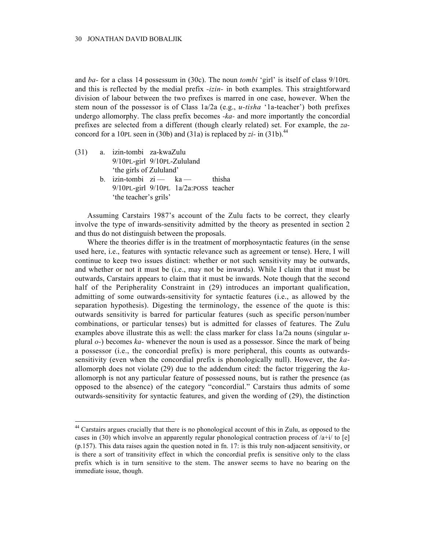and *ba-* for a class 14 possessum in (30c). The noun *tombi* 'girl' is itself of class 9/10PL and this is reflected by the medial prefix *-izin-* in both examples. This straightforward division of labour between the two prefixes is marred in one case, however. When the stem noun of the possessor is of Class 1a/2a (e.g., *u-tisha* '1a-teacher') both prefixes undergo allomorphy. The class prefix becomes *-ka-* and more importantly the concordial prefixes are selected from a different (though clearly related) set. For example, the *za*concord for a 10PL seen in (30b) and (31a) is replaced by  $zi$ - in (31b).<sup>44</sup>

- (31) a. izin-tombi za-kwaZulu 9/10PL-girl 9/10PL-Zululand 'the girls of Zululand'
	- b. izin-tombi  $zi$  ka thisha 9/10PL-girl 9/10PL 1a/2a:POSS teacher 'the teacher's grils'

Assuming Carstairs 1987's account of the Zulu facts to be correct, they clearly involve the type of inwards-sensitivity admitted by the theory as presented in section 2 and thus do not distinguish between the proposals.

Where the theories differ is in the treatment of morphosyntactic features (in the sense used here, i.e., features with syntactic relevance such as agreement or tense). Here, I will continue to keep two issues distinct: whether or not such sensitivity may be outwards, and whether or not it must be (i.e., may not be inwards). While I claim that it must be outwards, Carstairs appears to claim that it must be inwards. Note though that the second half of the Peripherality Constraint in (29) introduces an important qualification, admitting of some outwards-sensitivity for syntactic features (i.e., as allowed by the separation hypothesis). Digesting the terminology, the essence of the quote is this: outwards sensitivity is barred for particular features (such as specific person/number combinations, or particular tenses) but is admitted for classes of features. The Zulu examples above illustrate this as well: the class marker for class 1a/2a nouns (singular *u*plural *o-*) becomes *ka-* whenever the noun is used as a possessor. Since the mark of being a possessor (i.e., the concordial prefix) is more peripheral, this counts as outwardssensitivity (even when the concordial prefix is phonologically null). However, the *ka*allomorph does not violate (29) due to the addendum cited: the factor triggering the *ka*allomorph is not any particular feature of possessed nouns, but is rather the presence (as opposed to the absence) of the category "concordial." Carstairs thus admits of some outwards-sensitivity for syntactic features, and given the wording of (29), the distinction

<sup>&</sup>lt;sup>44</sup> Carstairs argues crucially that there is no phonological account of this in Zulu, as opposed to the cases in (30) which involve an apparently regular phonological contraction process of  $\lambda + i$  to [e] (p.157). This data raises again the question noted in fn. 17: is this truly non-adjacent sensitivity, or is there a sort of transitivity effect in which the concordial prefix is sensitive only to the class prefix which is in turn sensitive to the stem. The answer seems to have no bearing on the immediate issue, though.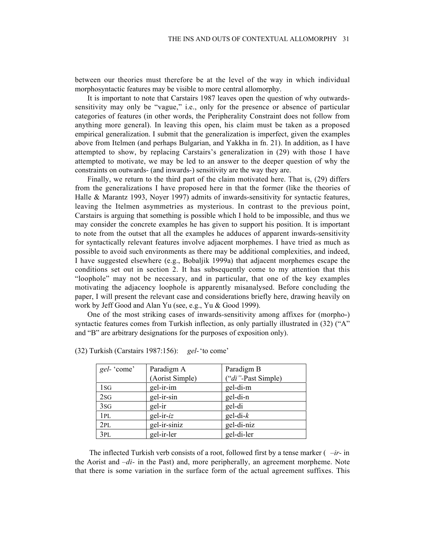between our theories must therefore be at the level of the way in which individual morphosyntactic features may be visible to more central allomorphy.

It is important to note that Carstairs 1987 leaves open the question of why outwardssensitivity may only be "vague," i.e., only for the presence or absence of particular categories of features (in other words, the Peripherality Constraint does not follow from anything more general). In leaving this open, his claim must be taken as a proposed empirical generalization. I submit that the generalization is imperfect, given the examples above from Itelmen (and perhaps Bulgarian, and Yakkha in fn. 21). In addition, as I have attempted to show, by replacing Carstairs's generalization in (29) with those I have attempted to motivate, we may be led to an answer to the deeper question of why the constraints on outwards- (and inwards-) sensitivity are the way they are.

Finally, we return to the third part of the claim motivated here. That is, (29) differs from the generalizations I have proposed here in that the former (like the theories of Halle & Marantz 1993, Noyer 1997) admits of inwards-sensitivity for syntactic features, leaving the Itelmen asymmetries as mysterious. In contrast to the previous point, Carstairs is arguing that something is possible which I hold to be impossible, and thus we may consider the concrete examples he has given to support his position. It is important to note from the outset that all the examples he adduces of apparent inwards-sensitivity for syntactically relevant features involve adjacent morphemes. I have tried as much as possible to avoid such environments as there may be additional complexities, and indeed, I have suggested elsewhere (e.g., Bobaljik 1999a) that adjacent morphemes escape the conditions set out in section 2. It has subsequently come to my attention that this "loophole" may not be necessary, and in particular, that one of the key examples motivating the adjacency loophole is apparently misanalysed. Before concluding the paper, I will present the relevant case and considerations briefly here, drawing heavily on work by Jeff Good and Alan Yu (see, e.g., Yu & Good 1999).

One of the most striking cases of inwards-sensitivity among affixes for (morpho-) syntactic features comes from Turkish inflection, as only partially illustrated in  $(32)$  ("A") and "B" are arbitrary designations for the purposes of exposition only).

| gel-'come'      | Paradigm A      | Paradigm B         |
|-----------------|-----------------|--------------------|
|                 | (Aorist Simple) | ("di"-Past Simple) |
| 1sG             | gel-ir-im       | gel-di-m           |
| 2SG             | gel-ir-sin      | gel-di-n           |
| 3 <sub>SG</sub> | gel-ir          | gel-di             |
| 1PL             | $gel-ir-iz$     | $gel-di-k$         |
| 2PL             | gel-ir-siniz    | gel-di-niz         |
| 3PL             | gel-ir-ler      | gel-di-ler         |

(32) Turkish (Carstairs 1987:156): *gel-*'to come'

 The inflected Turkish verb consists of a root, followed first by a tense marker ( *–ir-* in the Aorist and *–di-* in the Past) and, more peripherally, an agreement morpheme. Note that there is some variation in the surface form of the actual agreement suffixes. This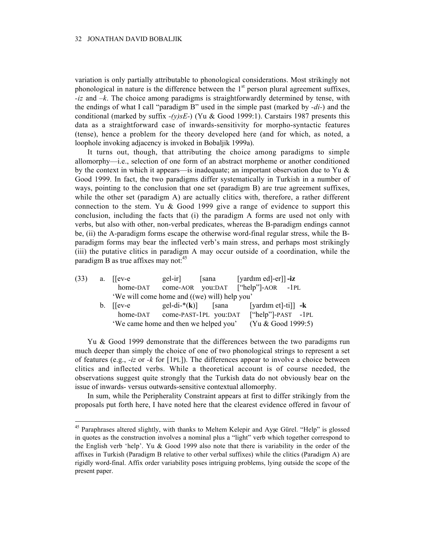variation is only partially attributable to phonological considerations. Most strikingly not phonological in nature is the difference between the  $1<sup>st</sup>$  person plural agreement suffixes, *-iz* and *–k*. The choice among paradigms is straightforwardly determined by tense, with the endings of what I call "paradigm B" used in the simple past (marked by *-di-*) and the conditional (marked by suffix *-(y)sE-*) (Yu & Good 1999:1). Carstairs 1987 presents this data as a straightforward case of inwards-sensitivity for morpho-syntactic features (tense), hence a problem for the theory developed here (and for which, as noted, a loophole invoking adjacency is invoked in Bobaljik 1999a).

It turns out, though, that attributing the choice among paradigms to simple allomorphy—i.e., selection of one form of an abstract morpheme or another conditioned by the context in which it appears—is inadequate; an important observation due to Yu  $\&$ Good 1999. In fact, the two paradigms differ systematically in Turkish in a number of ways, pointing to the conclusion that one set (paradigm B) are true agreement suffixes, while the other set (paradigm A) are actually clitics with, therefore, a rather different connection to the stem. Yu & Good 1999 give a range of evidence to support this conclusion, including the facts that (i) the paradigm A forms are used not only with verbs, but also with other, non-verbal predicates, whereas the B-paradigm endings cannot be, (ii) the A-paradigm forms escape the otherwise word-final regular stress, while the Bparadigm forms may bear the inflected verb's main stress, and perhaps most strikingly (iii) the putative clitics in paradigm A may occur outside of a coordination, while the paradigm B as true affixes may not: $45$ 

| (33) | a. $[lev-e]$                                 | gel-ir]               | sana | [yardım ed]-er]] -iz               |
|------|----------------------------------------------|-----------------------|------|------------------------------------|
|      | home-DAT                                     |                       |      | come-AOR you:DAT ["help"]-AOR -1PL |
|      | 'We will come home and ((we) will) help you' |                       |      |                                    |
|      | $b.$ Hev-e                                   | gel-di-* $(k)$ [sana  |      | [yardım et]-ti]] $-k$              |
|      | home-DAT                                     | come-PAST-1PL you:DAT |      | $[''help'']$ -PAST -1PL            |
|      | 'We came home and then we helped you'        | (Yu & Good 1999:5)    |      |                                    |

Yu & Good 1999 demonstrate that the differences between the two paradigms run much deeper than simply the choice of one of two phonological strings to represent a set of features (e.g., *-iz* or *-k* for [1PL]). The differences appear to involve a choice between clitics and inflected verbs. While a theoretical account is of course needed, the observations suggest quite strongly that the Turkish data do not obviously bear on the issue of inwards- versus outwards-sensitive contextual allomorphy.

In sum, while the Peripherality Constraint appears at first to differ strikingly from the proposals put forth here, I have noted here that the clearest evidence offered in favour of

 $45$  Paraphrases altered slightly, with thanks to Meltem Kelepir and Ayse Gürel. "Help" is glossed in quotes as the construction involves a nominal plus a "light" verb which together correspond to the English verb 'help'. Yu & Good 1999 also note that there is variability in the order of the affixes in Turkish (Paradigm B relative to other verbal suffixes) while the clitics (Paradigm A) are rigidly word-final. Affix order variability poses intriguing problems, lying outside the scope of the present paper.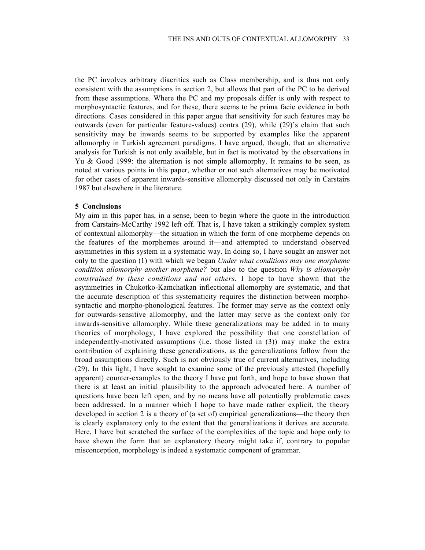the PC involves arbitrary diacritics such as Class membership, and is thus not only consistent with the assumptions in section 2, but allows that part of the PC to be derived from these assumptions. Where the PC and my proposals differ is only with respect to morphosyntactic features, and for these, there seems to be prima facie evidence in both directions. Cases considered in this paper argue that sensitivity for such features may be outwards (even for particular feature-values) contra (29), while (29)'s claim that such sensitivity may be inwards seems to be supported by examples like the apparent allomorphy in Turkish agreement paradigms. I have argued, though, that an alternative analysis for Turkish is not only available, but in fact is motivated by the observations in Yu & Good 1999: the alternation is not simple allomorphy. It remains to be seen, as noted at various points in this paper, whether or not such alternatives may be motivated for other cases of apparent inwards-sensitive allomorphy discussed not only in Carstairs 1987 but elsewhere in the literature.

# **5 Conclusions**

My aim in this paper has, in a sense, been to begin where the quote in the introduction from Carstairs-McCarthy 1992 left off. That is, I have taken a strikingly complex system of contextual allomorphy—the situation in which the form of one morpheme depends on the features of the morphemes around it—and attempted to understand observed asymmetries in this system in a systematic way. In doing so, I have sought an answer not only to the question (1) with which we began *Under what conditions may one morpheme condition allomorphy another morpheme?* but also to the question *Why is allomorphy constrained by these conditions and not others*. I hope to have shown that the asymmetries in Chukotko-Kamchatkan inflectional allomorphy are systematic, and that the accurate description of this systematicity requires the distinction between morphosyntactic and morpho-phonological features. The former may serve as the context only for outwards-sensitive allomorphy, and the latter may serve as the context only for inwards-sensitive allomorphy. While these generalizations may be added in to many theories of morphology, I have explored the possibility that one constellation of independently-motivated assumptions (i.e. those listed in (3)) may make the extra contribution of explaining these generalizations, as the generalizations follow from the broad assumptions directly. Such is not obviously true of current alternatives, including (29). In this light, I have sought to examine some of the previously attested (hopefully apparent) counter-examples to the theory I have put forth, and hope to have shown that there is at least an initial plausibility to the approach advocated here. A number of questions have been left open, and by no means have all potentially problematic cases been addressed. In a manner which I hope to have made rather explicit, the theory developed in section 2 is a theory of (a set of) empirical generalizations—the theory then is clearly explanatory only to the extent that the generalizations it derives are accurate. Here, I have but scratched the surface of the complexities of the topic and hope only to have shown the form that an explanatory theory might take if, contrary to popular misconception, morphology is indeed a systematic component of grammar.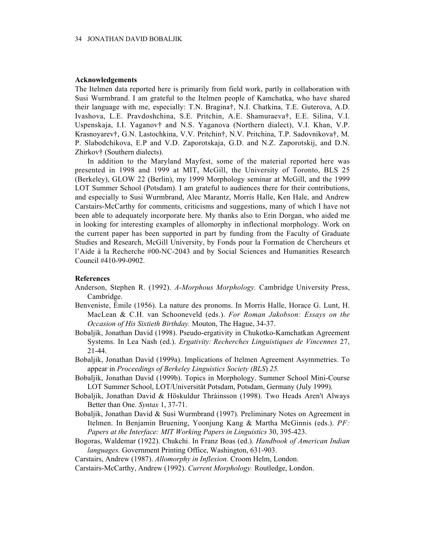### **Acknowledgements**

The Itelmen data reported here is primarily from field work, partly in collaboration with Susi Wurmbrand. I am grateful to the Itelmen people of Kamchatka, who have shared their language with me, especially: T.N. Bragina†, N.I. Chatkina, T.E. Guterova, A.D. Ivashova, L.E. Pravdoshchina, S.E. Pritchin, A.E. Shamuraeva†, E.E. Silina, V.I. Uspenskaja, I.I. Yaganov† and N.S. Yaganova (Northern dialect), V.I. Khan, V.P. Krasnoyarev†, G.N. Lastochkina, V.V. Pritchin†, N.V. Pritchina, T.P. Sadovnikova†, M. P. Slabodchikova, E.P and V.D. Zaporotskaja, G.D. and N.Z. Zaporotskij, and D.N. Zhirkov† (Southern dialects).

In addition to the Maryland Mayfest, some of the material reported here was presented in 1998 and 1999 at MIT, McGill, the University of Toronto, BLS 25 (Berkeley), GLOW 22 (Berlin), my 1999 Morphology seminar at McGill, and the 1999 LOT Summer School (Potsdam). I am grateful to audiences there for their contributions, and especially to Susi Wurmbrand, Alec Marantz, Morris Halle, Ken Hale, and Andrew Carstairs-McCarthy for comments, criticisms and suggestions, many of which I have not been able to adequately incorporate here. My thanks also to Erin Dorgan, who aided me in looking for interesting examples of allomorphy in inflectional morphology. Work on the current paper has been supported in part by funding from the Faculty of Graduate Studies and Research, McGill University, by Fonds pour la Formation de Chercheurs et l'Aide à la Recherche #00-NC-2043 and by Social Sciences and Humanities Research Council #410-99-0902.

# **References**

- Anderson, Stephen R. (1992). *A-Morphous Morphology.* Cambridge University Press, Cambridge.
- Benveniste, Émile (1956). La nature des pronoms. In Morris Halle, Horace G. Lunt, H. MacLean & C.H. van Schooneveld (eds.). *For Roman Jakobson: Essays on the Occasion of His Sixtieth Birthday.* Mouton, The Hague, 34-37.
- Bobaljik, Jonathan David (1998). Pseudo-ergativity in Chukotko-Kamchatkan Agreement Systems. In Lea Nash (ed.). *Ergativity: Recherches Linguistiques de Vincennes* 27, 21-44.
- Bobaljik, Jonathan David (1999a). Implications of Itelmen Agreement Asymmetries. To appear in *Proceedings of Berkeley Linguistics Society (BLS*) *25.*
- Bobaljik, Jonathan David (1999b). Topics in Morphology. Summer School Mini-Course LOT Summer School, LOT/Universität Potsdam, Potsdam, Germany (July 1999).
- Bobaljik, Jonathan David & Höskuldur Thráinsson (1998). Two Heads Aren't Always Better than One. *Syntax* 1, 37-71.
- Bobaljik, Jonathan David & Susi Wurmbrand (1997). Preliminary Notes on Agreement in Itelmen. In Benjamin Bruening, Yoonjung Kang & Martha McGinnis (eds.). *PF: Papers at the Interface: MIT Working Papers in Linguistics* 30, 395-423.
- Bogoras, Waldemar (1922). Chukchi. In Franz Boas (ed.). *Handbook of American Indian languages.* Government Printing Office, Washington, 631-903.

Carstairs, Andrew (1987). *Allomorphy in Inflexion.* Croom Helm, London.

Carstairs-McCarthy, Andrew (1992). *Current Morphology.* Routledge, London.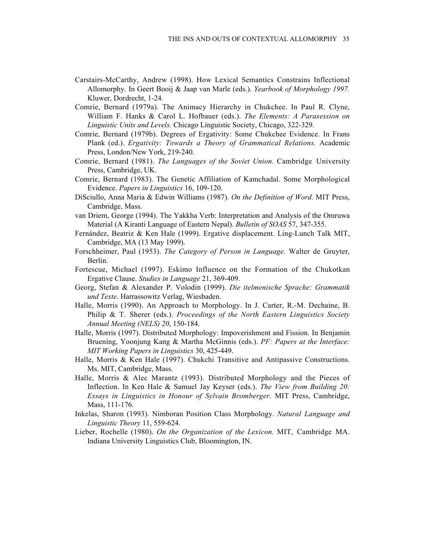- Carstairs-McCarthy, Andrew (1998). How Lexical Semantics Constrains Inflectional Allomorphy. In Geert Booij & Jaap van Marle (eds.). *Yearbook of Morphology 1997.* Kluwer, Dordrecht, 1-24.
- Comrie, Bernard (1979a). The Animacy Hierarchy in Chukchee. In Paul R. Clyne, William F. Hanks & Carol L. Hofbauer (eds.). *The Elements: A Parasession on Linguistic Units and Levels.* Chicago Linguistic Society, Chicago, 322-329.
- Comrie, Bernard (1979b). Degrees of Ergativity: Some Chukchee Evidence. In Frans Plank (ed.). *Ergativity: Towards a Theory of Grammatical Relations.* Academic Press, London/New York, 219-240.
- Comrie, Bernard (1981). *The Languages of the Soviet Union.* Cambridge University Press, Cambridge, UK.
- Comrie, Bernard (1983). The Genetic Affiliation of Kamchadal. Some Morphological Evidence. *Papers in Linguistics* 16, 109-120.
- DiSciullo, Anna Maria & Edwin Williams (1987). *On the Definition of Word.* MIT Press, Cambridge, Mass.
- van Driem, George (1994). The Yakkha Verb: Interpretation and Analysis of the Omruwa Material (A Kiranti Language of Eastern Nepal). *Bulletin of SOAS* 57, 347-355.
- Fernández, Beatriz & Ken Hale (1999). Ergative displacement. Ling-Lunch Talk MIT, Cambridge, MA (13 May 1999).
- Forschheimer, Paul (1953). *The Category of Person in Language.* Walter de Gruyter, Berlin.
- Fortescue, Michael (1997). Eskimo Influence on the Formation of the Chukotkan Ergative Clause. *Studies in Language* 21, 369-409.
- Georg, Stefan & Alexander P. Volodin (1999). *Die itelmenische Sprache: Grammatik und Texte*. Harrassowitz Verlag, Wiesbaden.
- Halle, Morris (1990). An Approach to Morphology. In J. Carter, R.-M. Dechaine, B. Philip & T. Sherer (eds.). *Proceedings of the North Eastern Linguistics Society Annual Meeting (NELS) 20*, 150-184.
- Halle, Morris (1997). Distributed Morphology: Impoverishment and Fission. In Benjamin Bruening, Yoonjung Kang & Martha McGinnis (eds.). *PF: Papers at the Interface: MIT Working Papers in Linguistics* 30, 425-449.
- Halle, Morris & Ken Hale (1997). Chukchi Transitive and Antipassive Constructions. Ms. MIT, Cambridge, Mass.
- Halle, Morris & Alec Marantz (1993). Distributed Morphology and the Pieces of Inflection. In Ken Hale & Samuel Jay Keyser (eds.). *The View from Building 20: Essays in Linguistics in Honour of Sylvain Bromberger.* MIT Press, Cambridge, Mass, 111-176.
- Inkelas, Sharon (1993). Nimboran Position Class Morphology. *Natural Language and Linguistic Theory* 11, 559-624.
- Lieber, Rochelle (1980). *On the Organization of the Lexicon.* MIT, Cambridge MA. Indiana University Linguistics Club, Bloomington, IN.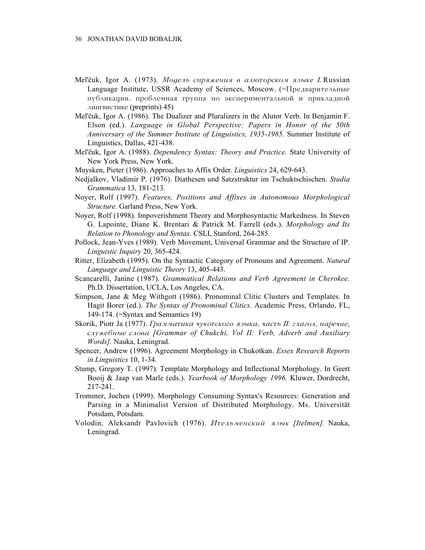- Mel'čuk, Igor A. (1973). *Модель спряжения в алюторском языке I*. Russian Language Institute, USSR Academy of Sciences, Moscow. (=Предварительные публикации, проблемная группа по экспериментальной и прикладной лингвистике (preprints) 45)
- Mel'čuk, Igor A. (1986). The Dualizer and Pluralizers in the Alutor Verb. In Benjamin F. Elson (ed.). *Language in Global Perspective: Papers in Honor of the 50th Anniversary of the Summer Institute of Linguistics, 1935-1985.* Summer Institute of Linguistics, Dallas, 421-438.
- Mel'čuk, Igor A. (1988). *Dependency Syntax: Theory and Practice*. State University of New York Press, New York.
- Muysken, Pieter (1986). Approaches to Affix Order. *Linguistics* 24, 629-643.
- Nedjalkov, Vladimir P. (1976). Diathesen und Satzstruktur im Tschuktschischen. *Studia Grammatica* 13, 181-213.
- Noyer, Rolf (1997). *Features, Positions and Affixes in Autonomous Morphological Structure.* Garland Press, New York.
- Noyer, Rolf (1998). Impoverishment Theory and Morphosyntactic Markedness. In Steven G. Lapointe, Diane K. Brentari & Patrick M. Farrell (eds.). *Morphology and Its Relation to Phonology and Syntax.* CSLI, Stanford, 264-285.
- Pollock, Jean-Yves (1989). Verb Movement, Universal Grammar and the Structure of IP. *Linguistic Inquiry* 20, 365-424.
- Ritter, Elizabeth (1995). On the Syntactic Category of Pronouns and Agreement. *Natural Language and Linguistic Theory* 13, 405-443.
- Scancarelli, Janine (1987). *Grammatical Relations and Verb Agreement in Cherokee.* Ph.D. Dissertation, UCLA, Los Angeles, CA.
- Simpson, Jane & Meg Withgott (1986). Pronominal Clitic Clusters and Templates. In Hagit Borer (ed.). *The Syntax of Pronominal Clitics.* Academic Press, Orlando, FL, 149-174. (=Syntax and Semantics 19)
- Skorik, Piotr Ja (1977). *Grammatika hukotskogo äzyka, hast∫ II: glagol, narehie, sluΩebnye slova [Grammar of Chukchi, Vol II: Verb, Adverb and Auxiliary Words].* Nauka, Leningrad.
- Spencer, Andrew (1996). Agreement Morphology in Chukotkan. *Essex Research Reports in Linguistics* 10, 1-34.
- Stump, Gregory T. (1997). Template Morphology and Inflectional Morphology. In Geert Booij & Jaap van Marle (eds.). *Yearbook of Morphology 1996.* Kluwer, Dordrecht, 217-241.
- Trommer, Jochen (1999). Morphology Consuming Syntax's Resources: Generation and Parsing in a Minimalist Version of Distributed Morphology. Ms. Universität Potsdam, Potsdam.
- Volodin, Aleksandr Pavlovich (1976). *Itel∫menskij äzyk [Itelmen].* Nauka, Leningrad.